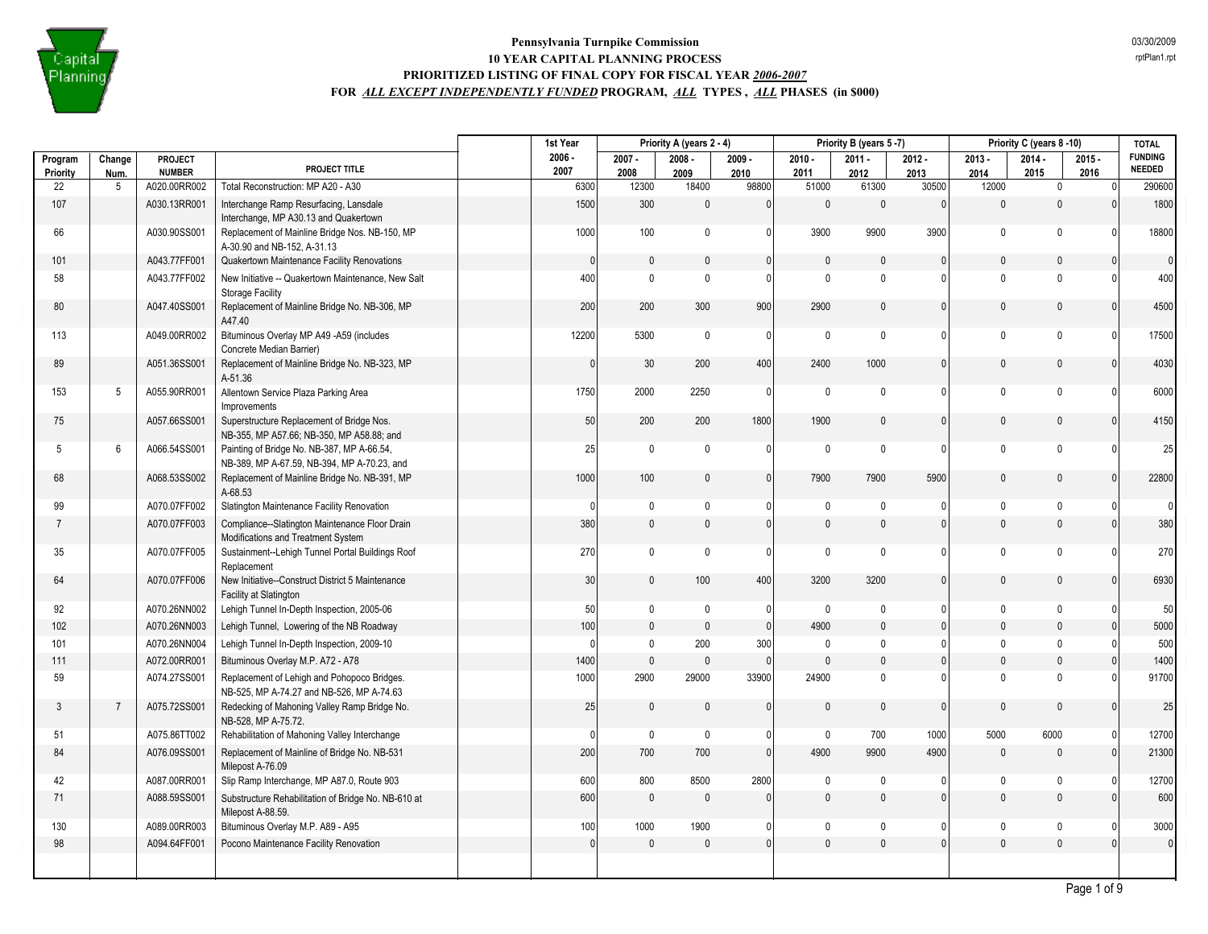

|                     |                |                          |                                                                                           | 1st Year         |                  | Priority A (years 2 - 4) |                  |                  | Priority B (years 5-7) |                  |                  | Priority C (years 8-10) |                  | <b>TOTAL</b>                    |
|---------------------|----------------|--------------------------|-------------------------------------------------------------------------------------------|------------------|------------------|--------------------------|------------------|------------------|------------------------|------------------|------------------|-------------------------|------------------|---------------------------------|
| Program<br>Priority | Change<br>Num. | PROJECT<br><b>NUMBER</b> | PROJECT TITLE                                                                             | $2006 -$<br>2007 | $2007 -$<br>2008 | $2008 -$<br>2009         | $2009 -$<br>2010 | $2010 -$<br>2011 | $2011 -$<br>2012       | $2012 -$<br>2013 | $2013 -$<br>2014 | $2014 -$<br>2015        | $2015 -$<br>2016 | <b>FUNDING</b><br><b>NEEDED</b> |
| 22                  | 5              | A020.00RR002             | Total Reconstruction: MP A20 - A30                                                        | 6300             | 12300            | 18400                    | 98800            | 51000            | 61300                  | 30500            | 12000            | $\mathbf 0$             | $\Omega$         | 290600                          |
| 107                 |                | A030.13RR001             | Interchange Ramp Resurfacing, Lansdale<br>Interchange, MP A30.13 and Quakertown           | 1500             | 300              | $\mathbf 0$              | $\mathbf{0}$     | $\mathbf{0}$     | $\mathbf{0}$           | $\mathbf{0}$     | $\mathbf{0}$     | $\mathbf{0}$            |                  | 1800                            |
| 66                  |                | A030.90SS001             | Replacement of Mainline Bridge Nos. NB-150, MP<br>A-30.90 and NB-152, A-31.13             | 1000             | 100              | $\mathbf 0$              | $\mathbf{0}$     | 3900             | 9900                   | 3900             | $\mathbf 0$      | $\mathbf{0}$            | $\Omega$         | 18800                           |
| 101                 |                | A043.77FF001             | Quakertown Maintenance Facility Renovations                                               | $\mathbf{0}$     | $\mathbf 0$      | $\mathbf{0}$             | $\mathbf{0}$     | $\theta$         | $\mathbf{0}$           | $\mathbf{0}$     | $\mathbf{0}$     | $\mathbf{0}$            | $\Omega$         | $\overline{0}$                  |
| 58                  |                | A043.77FF002             | New Initiative -- Quakertown Maintenance, New Salt<br><b>Storage Facility</b>             | 400              | $\mathbf 0$      | $\pmb{0}$                | 0                | $\mathbf{0}$     | $\mathbf{0}$           | $\mathbf{0}$     | $\pmb{0}$        | $\mathbf{0}$            | $\cap$           | 400                             |
| 80                  |                | A047.40SS001             | Replacement of Mainline Bridge No. NB-306, MP<br>A47.40                                   | 200              | 200              | 300                      | 900              | 2900             | $\mathbf{0}$           | $\mathbf{0}$     | $\mathbf{0}$     | $\mathbf 0$             | $\Omega$         | 4500                            |
| 113                 |                | A049.00RR002             | Bituminous Overlay MP A49 -A59 (includes<br>Concrete Median Barrier)                      | 12200            | 5300             | $\mathbf 0$              | $\mathbf{0}$     | $\mathbf 0$      | $\mathbf{0}$           | 0                | $\mathbf 0$      | $\mathbf{0}$            | $\Omega$         | 17500                           |
| 89                  |                | A051.36SS001             | Replacement of Mainline Bridge No. NB-323, MP<br>A-51.36                                  | $\mathbf{0}$     | 30               | 200                      | 400              | 2400             | 1000                   | $\mathbf{0}$     | $\mathbf{0}$     | $\mathbf{0}$            | $\Omega$         | 4030                            |
| 153                 | 5              | A055.90RR001             | Allentown Service Plaza Parking Area<br>Improvements                                      | 1750             | 2000             | 2250                     | $\mathbf{0}$     | $\mathbf 0$      | $\mathbf{0}$           | 0                | $\mathbf 0$      | $\mathbf{0}$            | $\Omega$         | 6000                            |
| 75                  |                | A057.66SS001             | Superstructure Replacement of Bridge Nos.<br>NB-355, MP A57.66; NB-350, MP A58.88; and    | 50               | 200              | 200                      | 1800             | 1900             | $\mathbf{0}$           | $\mathbf{0}$     | $\mathbf{0}$     | $\mathbf{0}$            | $\Omega$         | 4150                            |
| 5                   | 6              | A066.54SS001             | Painting of Bridge No. NB-387, MP A-66.54,<br>NB-389, MP A-67.59, NB-394, MP A-70.23, and | 25               | $\mathbf 0$      | $\mathbf 0$              | $\mathbf{0}$     | $\mathbf 0$      | $\mathbf 0$            | $\Omega$         | $\mathbf 0$      | $\mathbf{0}$            | $\Omega$         | 25                              |
| 68                  |                | A068.53SS002             | Replacement of Mainline Bridge No. NB-391, MP<br>A-68.53                                  | 1000             | 100              | $\mathbf{0}$             | $\mathbf{0}$     | 7900             | 7900                   | 5900             | $\mathbf{0}$     | $\Omega$                |                  | 22800                           |
| 99                  |                | A070.07FF002             | Slatington Maintenance Facility Renovation                                                | $\Omega$         | 0                | $\mathbf 0$              | $\mathbf{0}$     | $\pmb{0}$        | $\pmb{0}$              | 0                | $\mathbf 0$      | $\mathbf 0$             | - 0              | $\overline{0}$                  |
| $\overline{7}$      |                | A070.07FF003             | Compliance--Slatington Maintenance Floor Drain<br>Modifications and Treatment System      | 380              | $\mathbf 0$      | $\mathbf{0}$             | $\mathbf{0}$     | $\mathbf{0}$     | $\mathbf 0$            | $\mathbf{0}$     | $\mathbf{0}$     | $\mathbf{0}$            | $\Omega$         | 380                             |
| 35                  |                | A070.07FF005             | Sustainment--Lehigh Tunnel Portal Buildings Roof<br>Replacement                           | 270              | $\mathbf{0}$     | $\mathbf{0}$             | $\mathbf{0}$     | $\mathbf 0$      | $\mathbf{0}$           | 0                | $\mathbf 0$      | $\mathbf{0}$            | $\Omega$         | 270                             |
| 64                  |                | A070.07FF006             | New Initiative--Construct District 5 Maintenance<br>Facility at Slatington                | 30               | $\mathbf{0}$     | 100                      | 400              | 3200             | 3200                   | $\mathbf{0}$     | $\mathbf{0}$     | $\mathbf{0}$            | $\Omega$         | 6930                            |
| 92                  |                | A070.26NN002             | Lehigh Tunnel In-Depth Inspection, 2005-06                                                | 50               | $\mathbf 0$      | 0                        | 0                | $\mathbf 0$      | $\pmb{0}$              | $\Omega$         | $\mathbf 0$      | $\mathbf 0$             | $\Omega$         | 50                              |
| 102                 |                | A070.26NN003             | Lehigh Tunnel, Lowering of the NB Roadway                                                 | 100              | $\mathbf 0$      | $\mathbf{0}$             | $\mathbf{0}$     | 4900             | $\mathbf{0}$           | $\mathbf{0}$     | $\mathbf 0$      | $\mathbf{0}$            | $\Omega$         | 5000                            |
| 101                 |                | A070.26NN004             | Lehigh Tunnel In-Depth Inspection, 2009-10                                                | $\Omega$         | $\mathbf 0$      | 200                      | 300              | $\mathbf{0}$     | $\pmb{0}$              | $\Omega$         | $\mathbf{0}$     | $\mathbf{0}$            | $\Omega$         | 500                             |
| 111                 |                | A072.00RR001             | Bituminous Overlay M.P. A72 - A78                                                         | 1400             | $\mathbb O$      | $\mathbf{0}$             | $\mathbf{0}$     | $\theta$         | $\mathbf{0}$           | $\mathbf{0}$     | $\mathbf 0$      | $\mathbf{0}$            | $\Omega$         | 1400                            |
| 59                  |                | A074.27SS001             | Replacement of Lehigh and Pohopoco Bridges.<br>NB-525, MP A-74.27 and NB-526, MP A-74.63  | 1000             | 2900             | 29000                    | 33900            | 24900            | $\mathbf{0}$           | $\Omega$         | $\mathbf{0}$     | $\mathbf{0}$            | $\Omega$         | 91700                           |
| $\mathbf{3}$        | $\overline{7}$ | A075.72SS001             | Redecking of Mahoning Valley Ramp Bridge No.<br>NB-528, MP A-75.72.                       | 25               | $\mathbf 0$      | $\mathbf{0}$             | $\Omega$         | $\Omega$         | $\Omega$               | $\Omega$         | $\Omega$         | $\Omega$                |                  | 25                              |
| 51                  |                | A075.86TT002             | Rehabilitation of Mahoning Valley Interchange                                             | $\Omega$         | $\mathbf 0$      | $\pmb{0}$                | $\mathbf{0}$     | $\mathbf 0$      | 700                    | 1000             | 5000             | 6000                    | 0                | 12700                           |
| 84                  |                | A076.09SS001             | Replacement of Mainline of Bridge No. NB-531<br>Milepost A-76.09                          | 200              | 700              | 700                      | $\mathbf{0}$     | 4900             | 9900                   | 4900             | $\mathbf{0}$     | $\mathbf{0}$            | $\Omega$         | 21300                           |
| 42                  |                | A087.00RR001             | Slip Ramp Interchange, MP A87.0, Route 903                                                | 600              | 800              | 8500                     | 2800             | $\mathbf{0}$     | 0                      | <sup>0</sup>     | $\mathbf{0}$     | $\Omega$                |                  | 12700                           |
| 71                  |                | A088.59SS001             | Substructure Rehabilitation of Bridge No. NB-610 at<br>Milepost A-88.59.                  | 600              | $\mathbb O$      | $\mathbf{0}$             | $\theta$         | $\mathbf{0}$     | $\mathbf{0}$           | $\mathbf{0}$     | $\mathbf 0$      | $\mathbf{0}$            |                  | 600                             |
| 130                 |                | A089.00RR003             | Bituminous Overlay M.P. A89 - A95                                                         | 100              | 1000             | 1900                     | 0                | 0                | 0                      | 0                | $\mathbf 0$      | 0                       | - 0              | 3000                            |
| 98                  |                | A094.64FF001             | Pocono Maintenance Facility Renovation                                                    | 0                | $\mathbf{0}$     | $\Omega$                 | $\Omega$         | $\Omega$         | $\Omega$               | $\Omega$         | $\mathbf{0}$     | $\mathbf{0}$            | $\Omega$         | $\mathbf 0$                     |
|                     |                |                          |                                                                                           |                  |                  |                          |                  |                  |                        |                  |                  |                         |                  |                                 |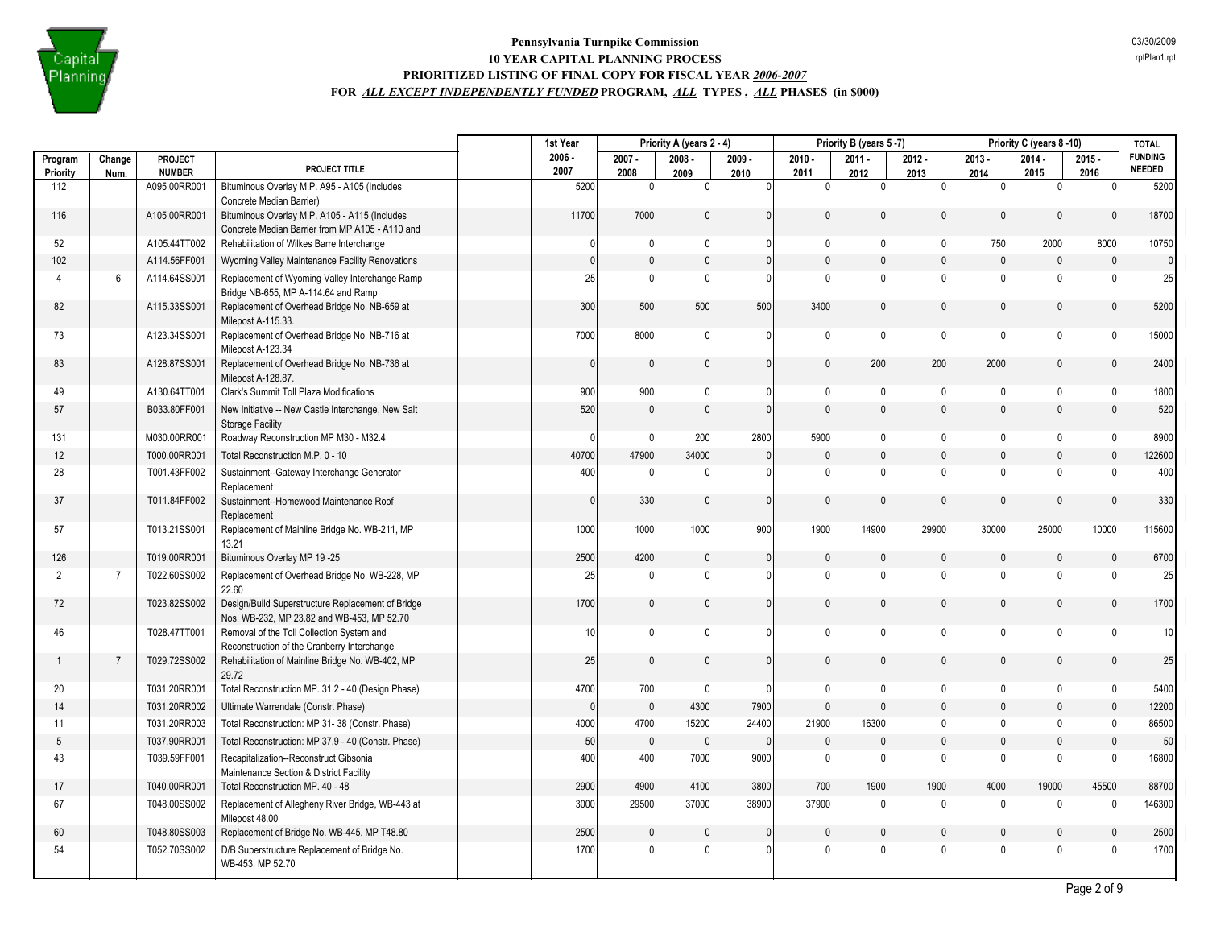

|                     |                |                                 |                                                                                                  | 1st Year         |                               | Priority A (years 2 - 4) |                  | Priority B (years 5-7) |                  |                  | Priority C (years 8-10) |                  |                  | <b>TOTAL</b>                    |
|---------------------|----------------|---------------------------------|--------------------------------------------------------------------------------------------------|------------------|-------------------------------|--------------------------|------------------|------------------------|------------------|------------------|-------------------------|------------------|------------------|---------------------------------|
| Program<br>Priority | Change<br>Num. | <b>PROJECT</b><br><b>NUMBER</b> | PROJECT TITLE                                                                                    | $2006 -$<br>2007 | $2007 -$<br>2008              | $2008 -$<br>2009         | $2009 -$<br>2010 | $2010 -$<br>2011       | $2011 -$<br>2012 | $2012 -$<br>2013 | $2013 -$<br>2014        | $2014 -$<br>2015 | $2015 -$<br>2016 | <b>FUNDING</b><br><b>NEEDED</b> |
| 112                 |                | A095.00RR001                    | Bituminous Overlay M.P. A95 - A105 (Includes<br>Concrete Median Barrier)                         | 5200             | $\mathbf 0$                   | $\mathbf 0$              | $\Omega$         | $\mathbf 0$            | $\mathbf 0$      | $\overline{0}$   | $\mathbf 0$             | $\mathbf 0$      |                  | 5200                            |
| 116                 |                | A105.00RR001                    | Bituminous Overlay M.P. A105 - A115 (Includes<br>Concrete Median Barrier from MP A105 - A110 and | 11700            | 7000                          | $\mathbf{0}$             | $\Omega$         | $\mathbf{0}$           | $\mathbf{0}$     | $\mathbf{0}$     | $\Omega$                | $\mathbf{0}$     |                  | 18700                           |
| 52                  |                | A105.44TT002                    | Rehabilitation of Wilkes Barre Interchange                                                       |                  | $\mathbf 0$<br>0              | $\mathbf{0}$             | $\Omega$         | $\mathbf{0}$           | $\mathbf{0}$     | $\mathbf{0}$     | 750                     | 2000             | 8000             | 10750                           |
| 102                 |                | A114.56FF001                    | Wyoming Valley Maintenance Facility Renovations                                                  |                  | $\mathbf{0}$<br>$\mathsf 0$   | $\mathbf{0}$             | $\pmb{0}$        | $\mathbf{0}$           | $\Omega$         | $\mathbf{0}$     | $\mathsf 0$             | $\mathbf{0}$     | $\Omega$         | $\overline{0}$                  |
| $\overline{4}$      | 6              | A114.64SS001                    | Replacement of Wyoming Valley Interchange Ramp<br>Bridge NB-655, MP A-114.64 and Ramp            |                  | 25<br>$\mathbf 0$             | $\mathbf{0}$             | $\Omega$         | $\mathbf{0}$           | $\mathbf{0}$     | $\mathbf{0}$     | $\mathbf 0$             | $\mathbf{0}$     |                  | 25                              |
| 82                  |                | A115.33SS001                    | Replacement of Overhead Bridge No. NB-659 at<br>Milepost A-115.33.                               |                  | 300<br>500                    | 500                      | 500              | 3400                   | $\Omega$         | $\mathbf{0}$     | $\theta$                | $\Omega$         |                  | 5200                            |
| 73                  |                | A123.34SS001                    | Replacement of Overhead Bridge No. NB-716 at<br>Milepost A-123.34                                | 7000             | 8000                          | $\mathbf{0}$             | $\Omega$         | $\mathbf{0}$           | $\Omega$         | $\mathbf{0}$     | $\mathbf 0$             | $\mathbf{0}$     |                  | 15000                           |
| 83                  |                | A128.87SS001                    | Replacement of Overhead Bridge No. NB-736 at<br>Milepost A-128.87.                               |                  | $\mathbf 0$<br>$\Omega$       | $\mathbf{0}$             | $\Omega$         | $\mathbf{0}$           | 200              | 200              | 2000                    | $\mathbf 0$      |                  | 2400                            |
| 49                  |                | A130.64TT001                    | Clark's Summit Toll Plaza Modifications                                                          |                  | 900<br>900                    | $\mathbf{0}$             | $\Omega$         | $\mathbf{0}$           | $\mathbf{0}$     | $\mathbf{0}$     | $\mathbf{0}$            | $\mathbf{0}$     |                  | 1800                            |
| 57                  |                | B033.80FF001                    | New Initiative -- New Castle Interchange, New Salt<br><b>Storage Facility</b>                    |                  | 520<br>$\mathbf{0}$           | $\mathbf{0}$             | $\Omega$         | $\mathbf{0}$           | $\Omega$         | $\Omega$         | $\mathbf{0}$            | $\mathbf{0}$     |                  | 520                             |
| 131                 |                | M030.00RR001                    | Roadway Reconstruction MP M30 - M32.4                                                            |                  | $\mathbf 0$<br>$\Omega$       | 200                      | 2800             | 5900                   | $\mathbf{0}$     | $\Omega$         | $\mathbf 0$             | $\mathbf 0$      |                  | 8900                            |
| 12                  |                | T000.00RR001                    | Total Reconstruction M.P. 0 - 10                                                                 | 40700            | 47900                         | 34000                    | $\Omega$         | $\mathbf{0}$           | $\mathbf{0}$     | $\mathbf{0}$     | $\mathbf{0}$            | $\mathbf{0}$     |                  | 122600                          |
| 28                  |                | T001.43FF002                    | Sustainment--Gateway Interchange Generator<br>Replacement                                        |                  | 400<br>$\mathbf{0}$           | $\Omega$                 | $\mathbf{0}$     | $\mathbf{0}$           | $\Omega$         | $\mathbf{0}$     | $\Omega$                | $\Omega$         |                  | 400                             |
| 37                  |                | T011.84FF002                    | Sustainment--Homewood Maintenance Roof<br>Replacement                                            |                  | $\mathbf{0}$<br>330           | $\mathbf{0}$             | $\Omega$         | $\Omega$               | $\Omega$         | $\mathbf{0}$     | $\Omega$                | $\mathbf{0}$     | $\Omega$         | 330                             |
| 57                  |                | T013.21SS001                    | Replacement of Mainline Bridge No. WB-211, MP<br>13.21                                           | 1000             | 1000                          | 1000                     | 900              | 1900                   | 14900            | 29900            | 30000                   | 25000            | 10000            | 115600                          |
| 126                 |                | T019.00RR001                    | Bituminous Overlay MP 19 -25                                                                     | 2500             | 4200                          | $\Omega$                 | $\Omega$         | 0                      | $\Omega$         | $\mathbf{0}$     | $\mathbf{0}$            | $\theta$         |                  | 6700                            |
| 2                   | $\overline{7}$ | T022.60SS002                    | Replacement of Overhead Bridge No. WB-228, MP<br>22.60                                           |                  | 25<br>$\mathbf 0$             | $\mathbf{0}$             | $\Omega$         | $\Omega$               | $\Omega$         | $\Omega$         | $\mathbf{0}$            | $\mathbf{0}$     |                  | 25                              |
| 72                  |                | T023.82SS002                    | Design/Build Superstructure Replacement of Bridge<br>Nos. WB-232, MP 23.82 and WB-453, MP 52.70  | 1700             | $\mathbf 0$                   | $\mathbf{0}$             | $\overline{0}$   | $\mathbf{0}$           | $\Omega$         | $\Omega$         | $\Omega$                | $\mathbf{0}$     | $\Omega$         | 1700                            |
| 46                  |                | T028.47TT001                    | Removal of the Toll Collection System and<br>Reconstruction of the Cranberry Interchange         |                  | $\mathbf 0$<br>10             | $\mathbf 0$              | $\Omega$         | $\mathbf 0$            | $\Omega$         | 0                | $\mathbf 0$             | $\Omega$         |                  | 10                              |
|                     | $\overline{7}$ | T029.72SS002                    | Rehabilitation of Mainline Bridge No. WB-402, MP<br>29.72                                        |                  | 25<br>$\mathbf 0$             | $\mathbf{0}$             | $\Omega$         | $\mathbf{0}$           | $\mathbf{0}$     | $\mathbf{0}$     | $\mathbf{0}$            | $\mathbf 0$      | $\Omega$         | 25                              |
| 20                  |                | T031.20RR001                    | Total Reconstruction MP. 31.2 - 40 (Design Phase)                                                | 4700             | 700                           | $\mathbf{0}$             |                  | $\mathbf{0}$           | $\mathbf{0}$     | $\mathbf{0}$     | $\mathbf 0$             | $\mathbf 0$      | n                | 5400                            |
| 14                  |                | T031.20RR002                    | Ultimate Warrendale (Constr. Phase)                                                              |                  | $\mathbf 0$<br>$\overline{0}$ | 4300                     | 7900             | $\mathbf{0}$           | $\Omega$         | $\mathbf{0}$     | $\mathbf{0}$            | $\Omega$         | $\Omega$         | 12200                           |
| 11                  |                | T031.20RR003                    | Total Reconstruction: MP 31-38 (Constr. Phase)                                                   | 4000             | 4700                          | 15200                    | 24400            | 21900                  | 16300            | $\mathbf{0}$     | $\mathbf 0$             | $\mathbf{0}$     | O                | 86500                           |
| 5                   |                | T037.90RR001                    | Total Reconstruction: MP 37.9 - 40 (Constr. Phase)                                               |                  | 50<br>$\mathbf 0$             | $\mathbf 0$              | $\Omega$         | $\mathbf{0}$           | $\mathbf{0}$     | $\mathbf{0}$     | $\mathbf{0}$            | $\mathbf{0}$     |                  | 50                              |
| 43                  |                | T039.59FF001                    | Recapitalization--Reconstruct Gibsonia<br>Maintenance Section & District Facility                |                  | 400<br>400                    | 7000                     | 9000             | $\mathbf 0$            | $\mathbf{0}$     | $\mathbf{0}$     | $\mathbf{0}$            | $\mathbf{0}$     |                  | 16800                           |
| 17                  |                | T040.00RR001                    | Total Reconstruction MP. 40 - 48                                                                 | 2900             | 4900                          | 4100                     | 3800             | 700                    | 1900             | 1900             | 4000                    | 19000            | 45500            | 88700                           |
| 67                  |                | T048.00SS002                    | Replacement of Allegheny River Bridge, WB-443 at<br>Milepost 48.00                               | 3000             | 29500                         | 37000                    | 38900            | 37900                  | $\mathbf 0$      | $\mathbf{0}$     | $\mathbf 0$             | $\mathbf{0}$     | $\Omega$         | 146300                          |
| 60                  |                | T048.80SS003                    | Replacement of Bridge No. WB-445, MP T48.80                                                      | 2500             | $\mathbf 0$                   | $\mathbf{0}$             | $\Omega$         | 0                      | $\Omega$         | $\mathbf{0}$     | $\mathbf{0}$            | $\theta$         |                  | 2500                            |
| 54                  |                | T052.70SS002                    | D/B Superstructure Replacement of Bridge No.<br>WB-453, MP 52.70                                 | 1700             | $\mathbf 0$                   | $\mathbf{0}$             | $\Omega$         | $\Omega$               | $\Omega$         | $\Omega$         | $\mathbf{0}$            | $\Omega$         |                  | 1700                            |
|                     |                |                                 |                                                                                                  |                  |                               |                          |                  |                        |                  |                  |                         |                  |                  |                                 |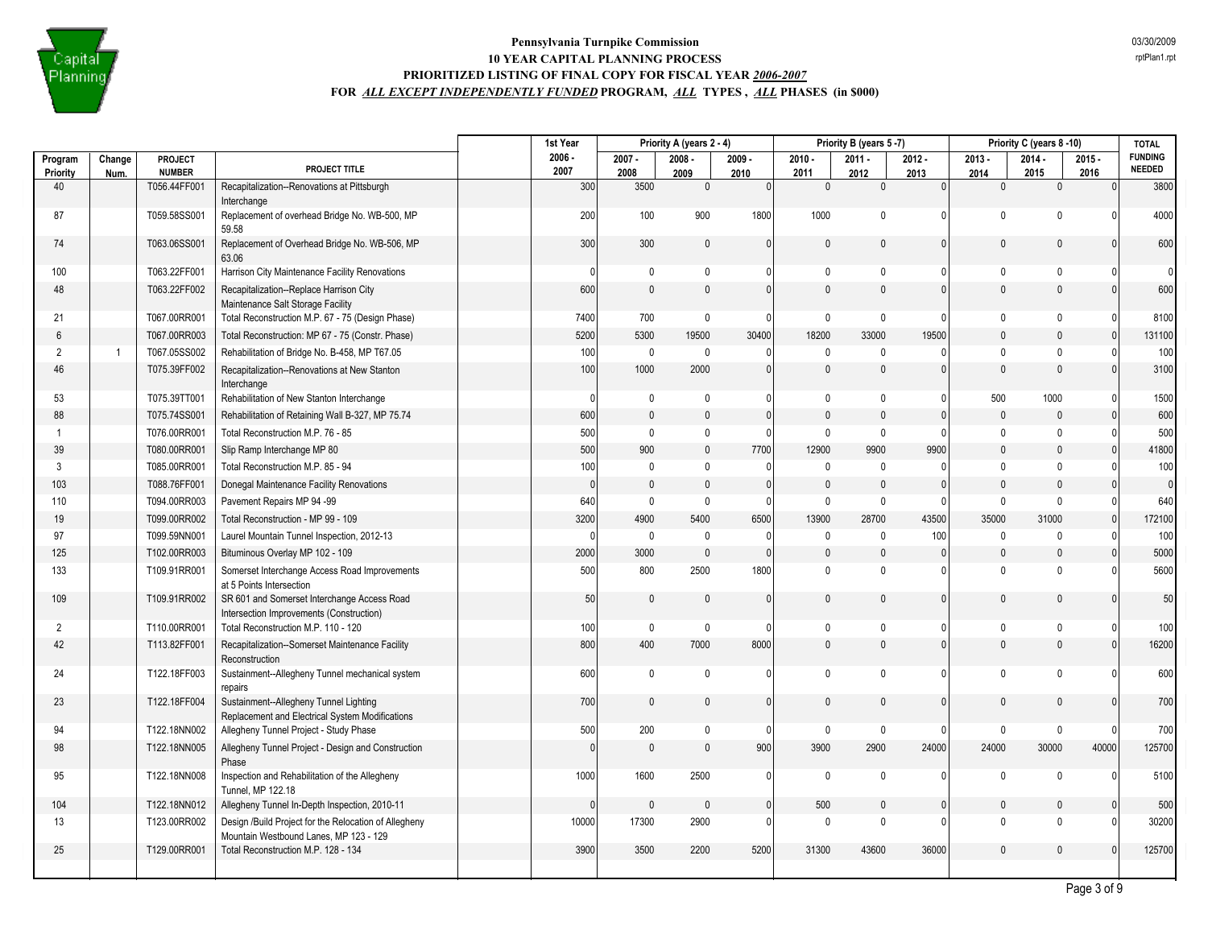

|                     |                |                                 |                                                                                                 | 1st Year         |                  | Priority A (years 2 - 4) |                  |                  | Priority B (years 5-7) |                  |                  | Priority C (years 8-10) |                  | <b>TOTAL</b>                    |
|---------------------|----------------|---------------------------------|-------------------------------------------------------------------------------------------------|------------------|------------------|--------------------------|------------------|------------------|------------------------|------------------|------------------|-------------------------|------------------|---------------------------------|
| Program<br>Priority | Change<br>Num. | <b>PROJECT</b><br><b>NUMBER</b> | PROJECT TITLE                                                                                   | $2006 -$<br>2007 | $2007 -$<br>2008 | $2008 -$<br>2009         | $2009 -$<br>2010 | $2010 -$<br>2011 | $2011 -$<br>2012       | $2012 -$<br>2013 | $2013 -$<br>2014 | $2014 -$<br>2015        | $2015 -$<br>2016 | <b>FUNDING</b><br><b>NEEDED</b> |
| 40                  |                | T056.44FF001                    | Recapitalization--Renovations at Pittsburgh<br>Interchange                                      | 300              | 3500             | 0                        | $\Omega$         | $\theta$         | $\mathbf{0}$           | $\Omega$         | $\mathbf{0}$     | $\mathbf{0}$            | $\Omega$         | 3800                            |
| 87                  |                | T059.58SS001                    | Replacement of overhead Bridge No. WB-500, MP<br>59.58                                          | 200              | 100              | 900                      | 1800             | 1000             | $\mathbf 0$            | 0                | $\mathbf 0$      | $\Omega$                | $\Omega$         | 4000                            |
| 74                  |                | T063.06SS001                    | Replacement of Overhead Bridge No. WB-506, MP<br>63.06                                          | 300              | 300              | $\mathbf{0}$             | $\Omega$         | $\Omega$         | $\pmb{0}$              | $\Omega$         | $\pmb{0}$        | $\Omega$                | $\Omega$         | 600                             |
| 100                 |                | T063.22FF001                    | Harrison City Maintenance Facility Renovations                                                  | 0                | 0                | 0                        | $\Omega$         | $\mathbf{0}$     | 0                      | 0                | 0                | $\mathbf{0}$            | $\Omega$         | $\Omega$                        |
| 48                  |                | T063.22FF002                    | Recapitalization--Replace Harrison City<br>Maintenance Salt Storage Facility                    | 600              | $\mathbf{0}$     | $\mathbf{0}$             | $\Omega$         | $\mathbf{0}$     | $\mathbf{0}$           | $\Omega$         | $\mathbf{0}$     | $\Omega$                | $\Omega$         | 600                             |
| 21                  |                | T067.00RR001                    | Total Reconstruction M.P. 67 - 75 (Design Phase)                                                | 7400             | 700              | 0                        | $\mathbf{0}$     | 0                | $\pmb{0}$              | 0                | $\mathbf 0$      | 0                       | $\mathbf 0$      | 8100                            |
| 6                   |                | T067.00RR003                    | Total Reconstruction: MP 67 - 75 (Constr. Phase)                                                | 5200             | 5300             | 19500                    | 30400            | 18200            | 33000                  | 19500            | $\mathbf{0}$     | $\mathbf{0}$            | $\mathbf{0}$     | 131100                          |
| $\overline{2}$      | $\mathbf{1}$   | T067.05SS002                    | Rehabilitation of Bridge No. B-458, MP T67.05                                                   | 100              | 0                | $\pmb{0}$                | $\Omega$         | $\mathbf{0}$     | 0                      | 0                | 0                | $\mathbf{0}$            | $\Omega$         | 100                             |
| 46                  |                | T075.39FF002                    | Recapitalization--Renovations at New Stanton<br>Interchange                                     | 100              | 1000             | 2000                     | $\mathbf{0}$     | $\mathbf{0}$     | $\mathbf{0}$           | U                | $\mathbf{0}$     | $\Omega$                | $\Omega$         | 3100                            |
| 53                  |                | T075.39TT001                    | Rehabilitation of New Stanton Interchange                                                       | $\Omega$         | $\mathbf 0$      | 0                        | 0                | $\mathbf{0}$     | 0                      | 0                | 500              | 1000                    | $\mathbf 0$      | 1500                            |
| 88                  |                | T075.74SS001                    | Rehabilitation of Retaining Wall B-327, MP 75.74                                                | 600              | $\mathbf{0}$     | $\mathbf{0}$             | $\mathbf{0}$     | $\Omega$         | $\mathbf{0}$           | $\mathbf{0}$     | $\mathbf{0}$     | $\mathbf{0}$            | $\mathbf{0}$     | 600                             |
|                     |                | T076.00RR001                    | Total Reconstruction M.P. 76 - 85                                                               | 500              | $\mathbf 0$      | 0                        | $\mathbf{0}$     | $\mathbf{0}$     | $\pmb{0}$              | U                | $\mathbf 0$      | $\mathbf{0}$            | $\Omega$         | 500                             |
| 39                  |                | T080.00RR001                    | Slip Ramp Interchange MP 80                                                                     | 500              | 900              | $\mathbf{0}$             | 7700             | 12900            | 9900                   | 9900             | $\mathbf{0}$     | $\Omega$                | $\Omega$         | 41800                           |
| 3                   |                | T085.00RR001                    | Total Reconstruction M.P. 85 - 94                                                               | 100              | $\mathbf 0$      | 0                        | $\mathbf{0}$     | $\mathbf{0}$     | 0                      | 0                | $\mathbf 0$      | $\mathbf 0$             | $\Omega$         | 100                             |
| 103                 |                | T088.76FF001                    | Donegal Maintenance Facility Renovations                                                        | $\Omega$         | $\mathbf 0$      | $\mathbf{0}$             | $\Omega$         | $\Omega$         | $\pmb{0}$              | $\Omega$         | $\mathbf{0}$     | $\Omega$                | $\Omega$         | $\overline{0}$                  |
| 110                 |                | T094.00RR003                    | Pavement Repairs MP 94 -99                                                                      | 640              | $\mathbf 0$      | 0                        | $\mathbf{0}$     | $\mathbf{0}$     | $\mathbf 0$            | 0                | $\mathbf{0}$     | $\Omega$                |                  | 640                             |
| 19                  |                | T099.00RR002                    | Total Reconstruction - MP 99 - 109                                                              | 3200             | 4900             | 5400                     | 6500             | 13900            | 28700                  | 43500            | 35000            | 31000                   |                  | 172100                          |
| 97                  |                | T099.59NN001                    | Laurel Mountain Tunnel Inspection, 2012-13                                                      | $\Omega$         | $\mathbf 0$      | $\mathbf 0$              | $\Omega$         | $\mathbf{0}$     | $\mathbf 0$            | 100              | $\mathbf 0$      | $\mathbf{0}$            | $\Omega$         | 100                             |
| 125                 |                | T102.00RR003                    | Bituminous Overlay MP 102 - 109                                                                 | 2000             | 3000             | $\pmb{0}$                | $\mathbf{0}$     | $\mathbf{0}$     | $\mathbf 0$            | $\mathbf{0}$     | $\mathbf{0}$     | $\mathbf{0}$            | $\Omega$         | 5000                            |
| 133                 |                | T109.91RR001                    | Somerset Interchange Access Road Improvements<br>at 5 Points Intersection                       | 500              | 800              | 2500                     | 1800             | $\mathbf{0}$     | $\mathbf 0$            |                  | $\Omega$         | $\Omega$                |                  | 5600                            |
| 109                 |                | T109.91RR002                    | SR 601 and Somerset Interchange Access Road<br>Intersection Improvements (Construction)         | 50               | $\mathbf 0$      | 0                        | $\Omega$         | $\Omega$         | $\mathbf 0$            | $\Omega$         | $\mathbf 0$      | $\Omega$                | $\Omega$         | 50                              |
| 2                   |                | T110.00RR001                    | Total Reconstruction M.P. 110 - 120                                                             | 100              | $\mathbf 0$      | $\pmb{0}$                | 0                | 0                | 0                      | 0                | 0                | 0                       | $\Omega$         | 100                             |
| 42                  |                | T113.82FF001                    | Recapitalization--Somerset Maintenance Facility<br>Reconstruction                               | 800              | 400              | 7000                     | 8000             | $\mathbf{0}$     | $\mathbf 0$            | $\Omega$         | $\mathbf{0}$     | $\mathbf 0$             | $\mathbf{0}$     | 16200                           |
| 24                  |                | T122.18FF003                    | Sustainment--Allegheny Tunnel mechanical system<br>repairs                                      | 600              | $\mathbf 0$      | $\pmb{0}$                | $\mathbf{0}$     | $\mathbf 0$      | $\mathbf 0$            | 0                | $\pmb{0}$        | $\mathbf 0$             | $\Omega$         | 600                             |
| 23                  |                | T122.18FF004                    | Sustainment--Allegheny Tunnel Lighting<br>Replacement and Electrical System Modifications       | 700              | $\mathbf 0$      | 0                        | $\mathbf{0}$     | 0                | $\mathbf 0$            | 0                | $\mathbf{0}$     | $\Omega$                | $\mathbf{0}$     | 700                             |
| 94                  |                | T122.18NN002                    | Allegheny Tunnel Project - Study Phase                                                          | 500              | 200              | $\mathbf 0$              | $\mathbf{0}$     | $\mathbf 0$      | $\mathbf 0$            | 0                | $\mathbf 0$      | $\mathbf{0}$            | $\Omega$         | 700                             |
| 98                  |                | T122.18NN005                    | Allegheny Tunnel Project - Design and Construction<br>Phase                                     | $\mathbf{0}$     | $\mathbf 0$      | $\mathbf{0}$             | 900              | 3900             | 2900                   | 24000            | 24000            | 30000                   | 40000            | 125700                          |
| 95                  |                | T122.18NN008                    | Inspection and Rehabilitation of the Allegheny<br>Tunnel, MP 122.18                             | 1000             | 1600             | 2500                     | $\mathbf{0}$     | $\mathbf 0$      | $\mathbf 0$            | 0                | $\mathbf 0$      | $\mathbf{0}$            | $\Omega$         | 5100                            |
| 104                 |                | T122.18NN012                    | Allegheny Tunnel In-Depth Inspection, 2010-11                                                   | $\Omega$         | $\mathbf{0}$     | $\mathbf{0}$             | $\mathbf{0}$     | 500              | $\mathbf{0}$           | $\Omega$         | $\mathbf{0}$     | $\mathbf{0}$            | $\mathbf{0}$     | 500                             |
| 13                  |                | T123.00RR002                    | Design /Build Project for the Relocation of Allegheny<br>Mountain Westbound Lanes, MP 123 - 129 | 10000            | 17300            | 2900                     | 0                | $\mathbf{0}$     | $\mathbf 0$            | 0                | $\mathbf{0}$     | $\Omega$                | $\Omega$         | 30200                           |
| 25                  |                | T129.00RR001                    | Total Reconstruction M.P. 128 - 134                                                             | 3900             | 3500             | 2200                     | 5200             | 31300            | 43600                  | 36000            | $\mathbf{0}$     | $\mathbf{0}$            | $\mathbf{0}$     | 125700                          |
|                     |                |                                 |                                                                                                 |                  |                  |                          |                  |                  |                        |                  |                  |                         |                  |                                 |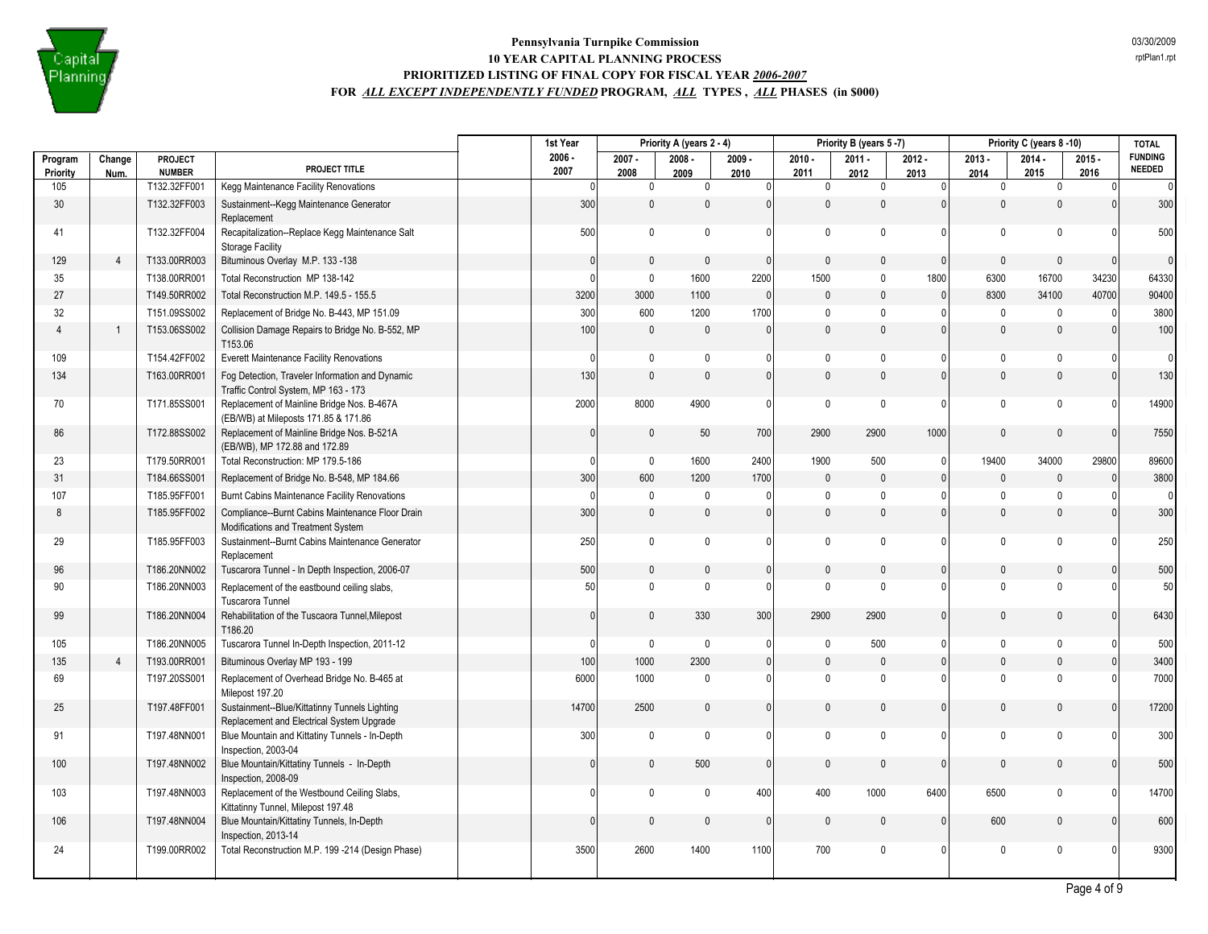

|                 |                |                          |                                                                                            | 1st Year         |                              | Priority A (years 2 - 4)     |                  |                  | Priority B (years 5-7) |                      |                     | Priority C (years 8-10) |                  | <b>TOTAL</b>                    |
|-----------------|----------------|--------------------------|--------------------------------------------------------------------------------------------|------------------|------------------------------|------------------------------|------------------|------------------|------------------------|----------------------|---------------------|-------------------------|------------------|---------------------------------|
| Program         | Change         | PROJECT<br><b>NUMBER</b> | PROJECT TITLE                                                                              | $2006 -$<br>2007 | $2007 -$<br>2008             | $2008 -$                     | $2009 -$         | $2010 -$<br>2011 | $2011 -$               | $2012 -$             | $2013 -$            | $2014 -$<br>2015        | $2015 -$<br>2016 | <b>FUNDING</b><br><b>NEEDED</b> |
| Priority<br>105 | Num.           | T132.32FF001             | Kegg Maintenance Facility Renovations                                                      |                  | $\Omega$                     | 2009<br>$\mathbf 0$<br>0     | 2010<br>$\Omega$ | $\mathbf{0}$     | 2012<br>0              | 2013<br>$\mathbf{0}$ | 2014<br>$\mathbf 0$ | $\mathbf 0$             | $\Omega$         | $\overline{0}$                  |
| 30              |                | T132.32FF003             | Sustainment--Kegg Maintenance Generator<br>Replacement                                     |                  | 300                          | $\mathbf{0}$<br>$\mathbf{0}$ | $\mathbf{0}$     | 0                | $\mathbf{0}$           | $\mathbf{0}$         | $\mathbf{0}$        | $\mathbf 0$             |                  | 300                             |
| 41              |                | T132.32FF004             | Recapitalization--Replace Kegg Maintenance Salt<br><b>Storage Facility</b>                 |                  | 500                          | $\mathbf 0$<br>$\mathbf 0$   | $\Omega$         | $\mathbf{0}$     | $\mathbf{0}$           | $\mathbf{0}$         | $\mathbf{0}$        | $\mathbf{0}$            |                  | 500                             |
| 129             | $\overline{4}$ | T133.00RR003             | Bituminous Overlay M.P. 133 -138                                                           |                  | $\mathbf{0}$                 | $\mathbf 0$<br>$\mathbf{0}$  | $\mathbf{0}$     | 0                | $\mathbf{0}$           | $\mathbf{0}$         | $\mathbf{0}$        | $\mathbf{0}$            | $\Omega$         | $\overline{0}$                  |
| 35              |                | T138.00RR001             | Total Reconstruction MP 138-142                                                            |                  | $\mathbf 0$<br>$\Omega$      | 1600                         | 2200             | 1500             | $\Omega$               | 1800                 | 6300                | 16700                   | 34230            | 64330                           |
| 27              |                | T149.50RR002             | Total Reconstruction M.P. 149.5 - 155.5                                                    |                  | 3200<br>3000                 | 1100                         | $\Omega$         | $\mathbf{0}$     | $\mathbf{0}$           | $\overline{0}$       | 8300                | 34100                   | 40700            | 90400                           |
| 32              |                | T151.09SS002             | Replacement of Bridge No. B-443, MP 151.09                                                 |                  | 300<br>600                   | 1200                         | 1700             | $\mathbf{0}$     | $\Omega$               | $\mathbf{0}$         | $\mathbf 0$         | $\mathbf{0}$            |                  | 3800                            |
| $\overline{4}$  | $\overline{1}$ | T153.06SS002             | Collision Damage Repairs to Bridge No. B-552, MP<br>T153.06                                |                  | 100                          | $\mathbf 0$<br>$\mathbf{0}$  | $\Omega$         | $\mathbf{0}$     | $\mathbf{0}$           | $\mathbf{0}$         | $\mathbf{0}$        | $\mathbf{0}$            |                  | 100                             |
| 109             |                | T154.42FF002             | Everett Maintenance Facility Renovations                                                   |                  | $\Omega$                     | $\mathbf 0$<br>0             | $\Omega$         | $\mathbf{0}$     | $\mathbf{0}$           | $\mathbf{0}$         | $\mathbf 0$         | $\mathbf{0}$            |                  | $\Omega$                        |
| 134             |                | T163.00RR001             | Fog Detection, Traveler Information and Dynamic<br>Traffic Control System, MP 163 - 173    |                  | 130                          | $\mathbf{0}$<br>$\Omega$     | $\Omega$         | 0                | $\Omega$               | $\Omega$             | $\mathbf{0}$        | $\mathbf{0}$            | $\Omega$         | 130                             |
| 70              |                | T171.85SS001             | Replacement of Mainline Bridge Nos. B-467A<br>(EB/WB) at Mileposts 171.85 & 171.86         |                  | 2000<br>8000                 | 4900                         | $\Omega$         | $\mathbf{0}$     | $\Omega$               | $\Omega$             | $\mathbf 0$         | $\mathbf{0}$            | n                | 14900                           |
| 86              |                | T172.88SS002             | Replacement of Mainline Bridge Nos. B-521A<br>(EB/WB), MP 172.88 and 172.89                |                  | $\mathbf{0}$                 | $\mathbf{0}$<br>50           | 700              | 2900             | 2900                   | 1000                 | $\Omega$            | $\mathbf{0}$            | $\Omega$         | 7550                            |
| 23              |                | T179.50RR001             | Total Reconstruction: MP 179.5-186                                                         |                  | $\mathbf{0}$<br>$\Omega$     | 1600                         | 2400             | 1900             | 500                    | $\mathbf{0}$         | 19400               | 34000                   | 29800            | 89600                           |
| 31              |                | T184.66SS001             | Replacement of Bridge No. B-548, MP 184.66                                                 |                  | 300<br>600                   | 1200                         | 1700             | $\mathbf{0}$     | $\mathbf{0}$           | $\mathbf{0}$         | $\pmb{0}$           | $\mathbf{0}$            | $\Omega$         | 3800                            |
| 107             |                | T185.95FF001             | Burnt Cabins Maintenance Facility Renovations                                              |                  | $\Omega$                     | $\mathbf 0$<br>$\mathbf{0}$  | $\Omega$         | $\mathbf{0}$     | $\Omega$               | $\Omega$             | $\mathbf{0}$        | $\mathbf 0$             |                  | $\Omega$                        |
| 8               |                | T185.95FF002             | Compliance--Burnt Cabins Maintenance Floor Drain<br>Modifications and Treatment System     |                  | 300                          | $\mathbf 0$<br>$\mathbf{0}$  | $\Omega$         | $\mathbf{0}$     | $\mathbf{0}$           | $\mathbf{0}$         | $\mathbf{0}$        | $\mathbf 0$             | $\Omega$         | 300                             |
| 29              |                | T185.95FF003             | Sustainment--Burnt Cabins Maintenance Generator<br>Replacement                             |                  | 250                          | $\mathbf 0$<br>0             | $\Omega$         | 0                | $\Omega$               | 0                    | 0                   | $\mathbf{0}$            |                  | 250                             |
| 96              |                | T186.20NN002             | Tuscarora Tunnel - In Depth Inspection, 2006-07                                            |                  | 500                          | $\mathbf 0$<br>$\mathbf 0$   | $\overline{0}$   | $\mathbf{0}$     | $\mathbf{0}$           | $\mathbf{0}$         | $\mathbf{0}$        | $\mathbf{0}$            |                  | 500                             |
| 90              |                | T186.20NN003             | Replacement of the eastbound ceiling slabs,<br>Tuscarora Tunnel                            |                  | 50                           | $\mathbf 0$<br>$\mathbf{0}$  | $\Omega$         | $\mathbf{0}$     | $\Omega$               | $\mathbf{0}$         | $\mathbf 0$         | $\mathbf{0}$            |                  | 50                              |
| 99              |                | T186.20NN004             | Rehabilitation of the Tuscaora Tunnel, Milepost<br>T186.20                                 |                  | $\mathbf{0}$<br>$\mathbf{0}$ | 330                          | 300              | 2900             | 2900                   | $\mathbf{0}$         | $\mathbf{0}$        | $\Omega$                |                  | 6430                            |
| 105             |                | T186.20NN005             | Tuscarora Tunnel In-Depth Inspection, 2011-12                                              |                  | $\Omega$                     | $\mathbf 0$<br>$\mathbf 0$   | 0                | $\mathbf{0}$     | 500                    | $\mathbf{0}$         | $\mathbf 0$         | $\mathbf 0$             |                  | 500                             |
| 135             | $\overline{4}$ | T193.00RR001             | Bituminous Overlay MP 193 - 199                                                            |                  | 100<br>1000                  | 2300                         | $\mathbf{0}$     | $\mathbf{0}$     | $\mathbf{0}$           | $\mathbf{0}$         | $\mathbf{0}$        | $\mathbf{0}$            |                  | 3400                            |
| 69              |                | T197.20SS001             | Replacement of Overhead Bridge No. B-465 at<br>Milepost 197.20                             |                  | 6000<br>1000                 | $\Omega$                     | $\Omega$         | $\Omega$         | $\Omega$               | $\mathbf{0}$         | $\Omega$            | $\Omega$                |                  | 7000                            |
| 25              |                | T197.48FF001             | Sustainment--Blue/Kittatinny Tunnels Lighting<br>Replacement and Electrical System Upgrade |                  | 14700<br>2500                | $\mathbf{0}$                 | $\Omega$         | 0                | $\Omega$               | $\Omega$             | $\mathbf{0}$        | $\mathbf{0}$            |                  | 17200                           |
| 91              |                | T197.48NN001             | Blue Mountain and Kittatiny Tunnels - In-Depth<br>Inspection, 2003-04                      |                  | 300<br>$\mathbf{0}$          | $\mathbf 0$                  | $\Omega$         | $\mathbf{0}$     | $\Omega$               | $\mathbf{0}$         | $\mathbf{0}$        | $\mathbf{0}$            |                  | 300                             |
| 100             |                | T197.48NN002             | Blue Mountain/Kittatiny Tunnels - In-Depth<br>Inspection, 2008-09                          |                  | $\Omega$                     | $\mathbf 0$<br>500           | $\Omega$         | 0                | $\Omega$               | $\Omega$             | $\mathbf{0}$        | $\mathbf 0$             |                  | 500                             |
| 103             |                | T197.48NN003             | Replacement of the Westbound Ceiling Slabs,<br>Kittatinny Tunnel, Milepost 197.48          |                  | $\Omega$                     | $\mathbf 0$<br>$\pmb{0}$     | 400              | 400              | 1000                   | 6400                 | 6500                | $\mathbf{0}$            |                  | 14700                           |
| 106             |                | T197.48NN004             | Blue Mountain/Kittatiny Tunnels, In-Depth<br>Inspection, 2013-14                           |                  | $\Omega$                     | $\mathbf 0$<br>$\mathbf{0}$  | $\Omega$         | $\Omega$         | $\Omega$               | $\mathbf{0}$         | 600                 | $\mathbf 0$             |                  | 600                             |
| 24              |                | T199.00RR002             | Total Reconstruction M.P. 199 -214 (Design Phase)                                          |                  | 3500<br>2600                 | 1400                         | 1100             | 700              | $\mathbf{0}$           | 0                    | $\mathbf 0$         | $\mathbf{0}$            |                  | 9300                            |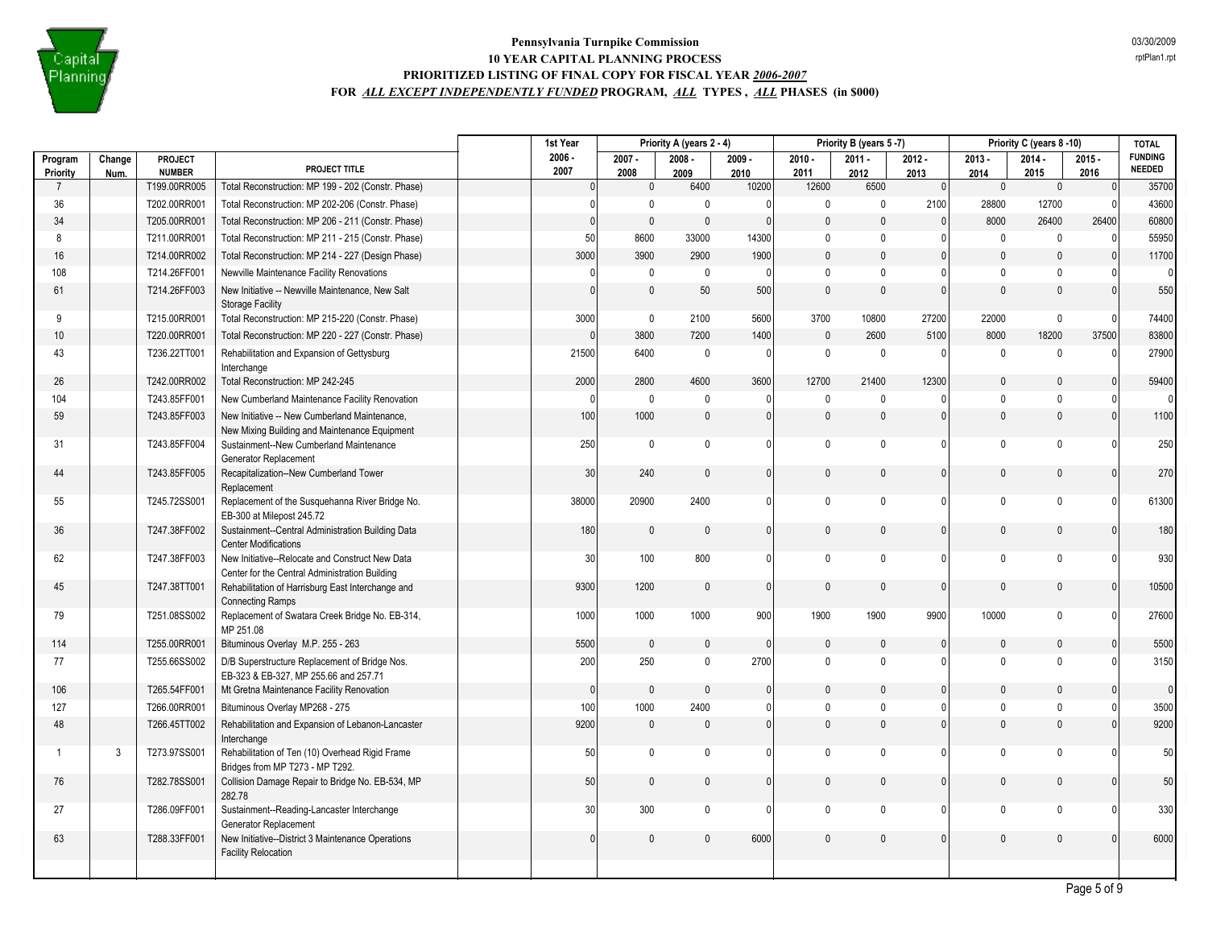

|                            |        |                               |                                                                                                   | 1st Year             | Priority A (years 2 - 4) |              | Priority B (years 5-7) |               | Priority C (years 8-10) |                        |                     | <b>TOTAL</b>      |                      |                                 |
|----------------------------|--------|-------------------------------|---------------------------------------------------------------------------------------------------|----------------------|--------------------------|--------------|------------------------|---------------|-------------------------|------------------------|---------------------|-------------------|----------------------|---------------------------------|
| Program                    | Change | PROJECT                       | PROJECT TITLE                                                                                     | $2006 -$             | $2007 -$                 | $2008 -$     | $2009 -$               | $2010 -$      | $2011 -$                | $2012 -$               | $2013 -$            | $2014 -$          | $2015 -$             | <b>FUNDING</b><br><b>NEEDED</b> |
| Priority<br>$\overline{7}$ | Num.   | <b>NUMBER</b><br>T199.00RR005 | Total Reconstruction: MP 199 - 202 (Constr. Phase)                                                | 2007<br>$\mathbf{0}$ | 2008<br>$\mathbf 0$      | 2009<br>6400 | 2010<br>10200          | 2011<br>12600 | 2012<br>6500            | 2013<br>$\overline{0}$ | 2014<br>$\mathbf 0$ | 2015<br>$\pmb{0}$ | 2016<br>$\mathbf{0}$ | 35700                           |
| 36                         |        | T202.00RR001                  | Total Reconstruction: MP 202-206 (Constr. Phase)                                                  | $\theta$             | $\mathbf 0$              | $\mathbf{0}$ | $\Omega$               | $\mathbf 0$   | $\mathbf 0$             | 2100                   | 28800               | 12700             | - 0                  | 43600                           |
| 34                         |        | T205.00RR001                  | Total Reconstruction: MP 206 - 211 (Constr. Phase)                                                | $\mathbf{0}$         | $\mathbf 0$              | $\mathbf{0}$ | $\Omega$               | $\Omega$      | $\Omega$                | $\Omega$               | 8000                | 26400             | 26400                | 60800                           |
| 8                          |        | T211.00RR001                  | Total Reconstruction: MP 211 - 215 (Constr. Phase)                                                | 50                   | 8600                     | 33000        | 14300                  | $\mathbf 0$   | $\mathbf 0$             | $\Omega$               | $\mathbf 0$         | $\mathbf 0$       | $\Omega$             | 55950                           |
| 16                         |        | T214.00RR002                  | Total Reconstruction: MP 214 - 227 (Design Phase)                                                 | 3000                 | 3900                     | 2900         | 1900                   | $\mathbf 0$   | $\pmb{0}$               | $\mathbf{0}$           | $\pmb{0}$           | $\mathbf{0}$      | $\Omega$             | 11700                           |
| 108                        |        | T214.26FF001                  | Newville Maintenance Facility Renovations                                                         | $\theta$             | $\mathbf 0$              | $\mathbf{0}$ | $\Omega$               | $\mathbf 0$   | $\mathbf{0}$            | 0                      | $\mathbf{0}$        | $\Omega$          |                      | $\overline{0}$                  |
| 61                         |        | T214.26FF003                  | New Initiative -- Newville Maintenance, New Salt                                                  | $\Omega$             | $\mathsf 0$              | 50           | 500                    | $\Omega$      | $\Omega$                | $\mathbf{0}$           | $\Omega$            | $\mathbf{0}$      | $\Omega$             | 550                             |
|                            |        |                               | <b>Storage Facility</b>                                                                           |                      |                          |              |                        |               |                         |                        |                     |                   |                      |                                 |
| 9                          |        | T215.00RR001                  | Total Reconstruction: MP 215-220 (Constr. Phase)                                                  | 3000                 | $\mathsf 0$              | 2100         | 5600                   | 3700          | 10800                   | 27200                  | 22000               | $\mathbf 0$       | $\bigcap$            | 74400                           |
| 10                         |        | T220.00RR001                  | Total Reconstruction: MP 220 - 227 (Constr. Phase)                                                | $\Omega$             | 3800                     | 7200         | 1400                   | $\mathbf{0}$  | 2600                    | 5100                   | 8000                | 18200             | 37500                | 83800                           |
| 43                         |        | T236.22TT001                  | Rehabilitation and Expansion of Gettysburg<br>Interchange                                         | 21500                | 6400                     | $\pmb{0}$    | $\mathbf{0}$           | $\mathbf 0$   | $\pmb{0}$               | $\mathbf 0$            | $\mathbf 0$         | $\Omega$          | $\mathbf{0}$         | 27900                           |
| 26                         |        | T242.00RR002                  | Total Reconstruction: MP 242-245                                                                  | 2000                 | 2800                     | 4600         | 3600                   | 12700         | 21400                   | 12300                  | $\mathbf{0}$        | $\mathbf{0}$      | $\Omega$             | 59400                           |
| 104                        |        | T243.85FF001                  | New Cumberland Maintenance Facility Renovation                                                    | $\Omega$             | $\mathbf{0}$             | $\mathbf{0}$ | $\Omega$               | $\mathbf{0}$  | $\mathbf{0}$            | 0                      | $\mathbf 0$         | $\mathbf{0}$      | $\Omega$             | $\overline{0}$                  |
| 59                         |        | T243.85FF003                  | New Initiative -- New Cumberland Maintenance,                                                     | 100                  | 1000                     | $\mathbf{0}$ | $\mathbf{0}$           | $\mathbf{0}$  | $\mathbf{0}$            | $\mathbf{0}$           | $\mathbf 0$         | $\mathbf{0}$      | $\mathbf{0}$         | 1100                            |
|                            |        |                               | New Mixing Building and Maintenance Equipment                                                     |                      |                          |              |                        |               |                         |                        |                     |                   |                      |                                 |
| 31                         |        | T243.85FF004                  | Sustainment--New Cumberland Maintenance<br>Generator Replacement                                  | 250                  | $\mathbf 0$              | $\mathbf 0$  | 0                      | $\mathbf 0$   | $\mathbf{0}$            | 0                      | $\mathbf 0$         | $\mathbf{0}$      | $\Omega$             | 250                             |
| 44                         |        | T243.85FF005                  | Recapitalization--New Cumberland Tower                                                            | 30 <sup>°</sup>      | 240                      | $\mathbf{0}$ | 0                      | $\mathbf{0}$  | $\mathbf{0}$            | $\mathbf{0}$           | $\mathbf{0}$        | $\mathbf{0}$      | $\Omega$             | 270                             |
|                            |        |                               | Replacement                                                                                       |                      |                          |              |                        |               |                         |                        |                     |                   |                      |                                 |
| 55                         |        | T245.72SS001                  | Replacement of the Susquehanna River Bridge No.<br>EB-300 at Milepost 245.72                      | 38000                | 20900                    | 2400         | 0                      | $\mathbf 0$   | $\mathbf{0}$            | $\mathbf{0}$           | $\mathbf 0$         | $\mathbf{0}$      | $\Omega$             | 61300                           |
| 36                         |        | T247.38FF002                  | Sustainment--Central Administration Building Data<br><b>Center Modifications</b>                  | 180                  | $\mathbf{0}$             | $\mathbf{0}$ | 0                      | $\mathbf{0}$  | $\mathbf{0}$            | $\mathbf{0}$           | $\mathbf{0}$        | $\mathbf{0}$      | $\Omega$             | 180                             |
| 62                         |        | T247.38FF003                  | New Initiative--Relocate and Construct New Data<br>Center for the Central Administration Building | 30                   | 100                      | 800          | $\Omega$               | $\mathbf 0$   | $\mathbf{0}$            | $\Omega$               | $\mathbf 0$         | $\mathbf{0}$      | $\Omega$             | 930                             |
| 45                         |        | T247.38TT001                  | Rehabilitation of Harrisburg East Interchange and                                                 | 9300                 | 1200                     | $\mathbf{0}$ | $\Omega$               | $\Omega$      | $\Omega$                | $\Omega$               | $\Omega$            | $\Omega$          |                      | 10500                           |
|                            |        |                               | <b>Connecting Ramps</b>                                                                           |                      | 1000                     |              |                        | 1900          | 1900                    |                        |                     | $\mathbf 0$       | $\Omega$             |                                 |
| 79                         |        | T251.08SS002                  | Replacement of Swatara Creek Bridge No. EB-314,<br>MP 251.08                                      | 1000                 |                          | 1000         | 900                    |               |                         | 9900                   | 10000               |                   |                      | 27600                           |
| 114                        |        | T255.00RR001                  | Bituminous Overlay M.P. 255 - 263                                                                 | 5500                 | $\mathbf 0$              | $\mathbf{0}$ | $\mathbf{0}$           | $\mathbf{0}$  | $\mathbf{0}$            | $\mathbf{0}$           | $\mathbf{0}$        | $\mathbf{0}$      | $\Omega$             | 5500                            |
| 77                         |        | T255.66SS002                  | D/B Superstructure Replacement of Bridge Nos.<br>EB-323 & EB-327, MP 255.66 and 257.71            | 200                  | 250                      | $\mathbf 0$  | 2700                   | $\mathbf{0}$  | $\mathbf{0}$            | 0                      | $\mathbf 0$         | $\Omega$          | $\Omega$             | 3150                            |
| 106                        |        | T265.54FF001                  | Mt Gretna Maintenance Facility Renovation                                                         | $\overline{0}$       | $\mathbf 0$              | $\mathbf{0}$ | 0                      | $\mathbf{0}$  | $\mathbf{0}$            | $\mathbf{0}$           | $\mathbf{0}$        | $\mathbf{0}$      | $\Omega$             | $\overline{0}$                  |
| 127                        |        | T266.00RR001                  | Bituminous Overlay MP268 - 275                                                                    | 100                  | 1000                     | 2400         | 0                      | $\mathbf{0}$  | $\mathbf{0}$            | 0                      | $\mathbf{0}$        | $\mathbf 0$       | $\Omega$             | 3500                            |
| 48                         |        | T266.45TT002                  | Rehabilitation and Expansion of Lebanon-Lancaster<br>Interchange                                  | 9200                 | $\mathbf{0}$             | $\mathbf{0}$ | 0                      | $\mathbf{0}$  | $\mathbf{0}$            | $\mathbf{0}$           | $\mathbf 0$         | $\mathbf{0}$      | $\Omega$             | 9200                            |
| $\overline{1}$             | 3      | T273.97SS001                  | Rehabilitation of Ten (10) Overhead Rigid Frame<br>Bridges from MP T273 - MP T292.                | 50                   | $\mathbf 0$              | $\mathbf 0$  | $\Omega$               | $\mathbf 0$   | $\mathbf{0}$            | $\Omega$               | $\mathbf 0$         | $\mathbf{0}$      | $\Omega$             | 50                              |
| 76                         |        | T282.78SS001                  | Collision Damage Repair to Bridge No. EB-534, MP<br>282.78                                        | 50                   | $\mathbf 0$              | $\mathbf 0$  | 0                      | $\mathbf{0}$  | $\mathbf{0}$            | $\mathbf{0}$           | $\pmb{0}$           | $\pmb{0}$         | $\Omega$             | 50                              |
| 27                         |        | T286.09FF001                  | Sustainment--Reading-Lancaster Interchange<br>Generator Replacement                               | 30                   | 300                      | 0            | $\Omega$               | $\mathsf{O}$  | $\mathbf{0}$            | 0                      | $\mathbf 0$         | $\mathbf 0$       | $\Omega$             | 330                             |
| 63                         |        | T288.33FF001                  | New Initiative--District 3 Maintenance Operations<br><b>Facility Relocation</b>                   | $\mathbf{0}$         | $\theta$                 | $\mathbf{0}$ | 6000                   | 0             | $\mathbf{0}$            | $\mathbf{0}$           | $\mathbf{0}$        | $\Omega$          | $\Omega$             | 6000                            |
|                            |        |                               |                                                                                                   |                      |                          |              |                        |               |                         |                        |                     |                   |                      |                                 |
|                            |        |                               |                                                                                                   |                      |                          |              |                        |               |                         |                        |                     |                   |                      |                                 |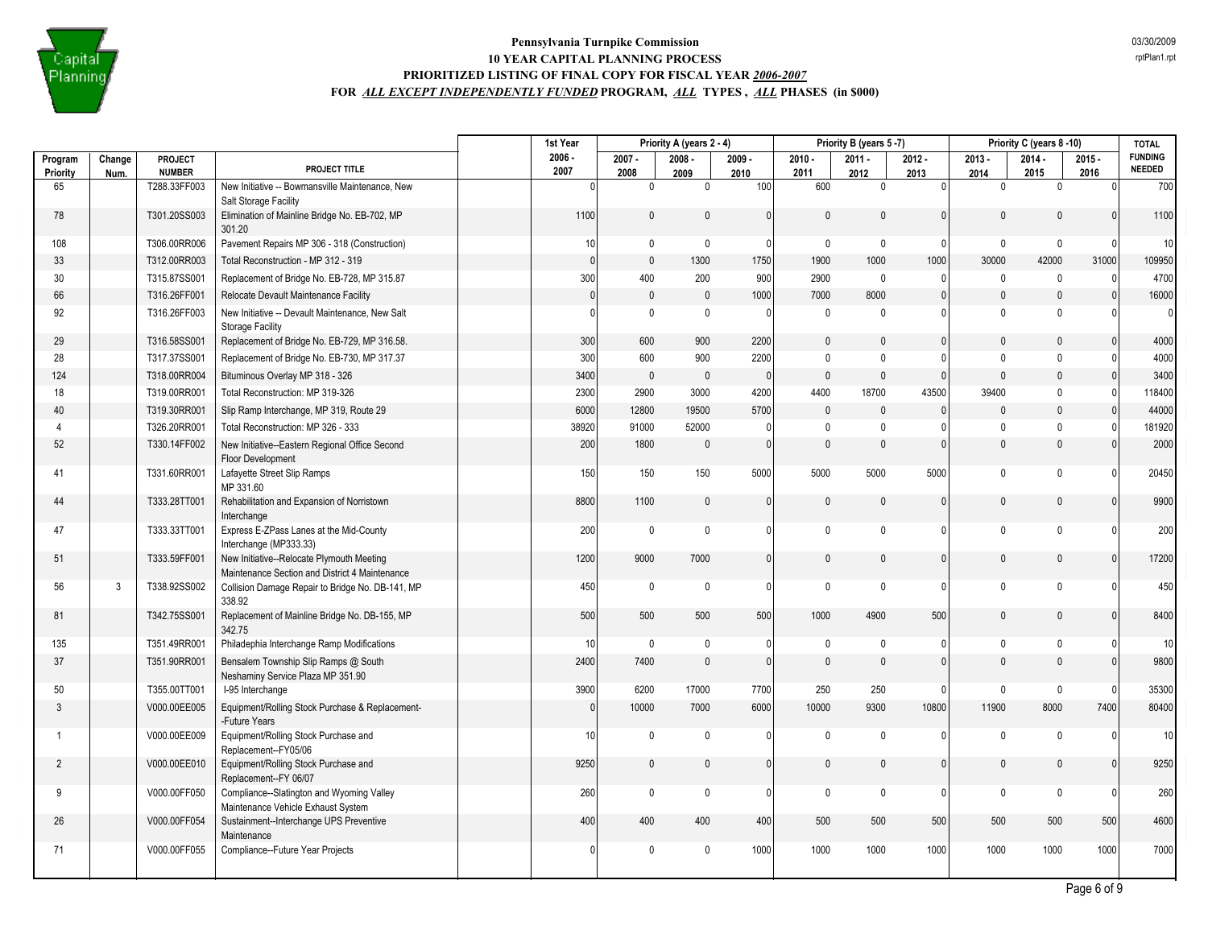

|                     |                |                          |                                                                                             | 1st Year         |                                | Priority A (years 2 - 4) |                  |                  | Priority B (years 5-7) |                  |                  | Priority C (years 8-10) |                  | <b>TOTAL</b>                    |
|---------------------|----------------|--------------------------|---------------------------------------------------------------------------------------------|------------------|--------------------------------|--------------------------|------------------|------------------|------------------------|------------------|------------------|-------------------------|------------------|---------------------------------|
| Program<br>Priority | Change<br>Num. | PROJECT<br><b>NUMBER</b> | PROJECT TITLE                                                                               | $2006 -$<br>2007 | $2007 -$<br>2008               | $2008 -$<br>2009         | $2009 -$<br>2010 | $2010 -$<br>2011 | $2011 -$<br>2012       | $2012 -$<br>2013 | $2013 -$<br>2014 | $2014 -$<br>2015        | $2015 -$<br>2016 | <b>FUNDING</b><br><b>NEEDED</b> |
| 65                  |                | T288.33FF003             | New Initiative -- Bowmansville Maintenance, New                                             |                  | $\pmb{0}$<br>$\mathbf{0}$      | $\mathbf 0$              | 100              | 600              | $\mathbf 0$            | $\Omega$         | $\mathbf 0$      | 0                       | $\Omega$         | 700                             |
| 78                  |                | T301.20SS003             | Salt Storage Facility<br>Elimination of Mainline Bridge No. EB-702, MP<br>301.20            |                  | 1100<br>$\mathbf 0$            | $\mathbf{0}$             | $\Omega$         | $\Omega$         | $\mathbf{0}$           | $\mathbf{0}$     | $\mathbf{0}$     | $\Omega$                | $\Omega$         | 1100                            |
| 108                 |                | T306.00RR006             | Pavement Repairs MP 306 - 318 (Construction)                                                |                  | 10<br>$\mathbf 0$              | $\pmb{0}$                | $\Omega$         | $\mathbf 0$      | $\mathbf 0$            | $\Omega$         | $\mathbf 0$      | $\mathbf 0$             | $\Omega$         | 10 <sup>1</sup>                 |
| 33                  |                | T312.00RR003             | Total Reconstruction - MP 312 - 319                                                         |                  | $\overline{0}$<br>$\mathsf 0$  | 1300                     | 1750             | 1900             | 1000                   | 1000             | 30000            | 42000                   | 31000            | 109950                          |
| 30                  |                | T315.87SS001             | Replacement of Bridge No. EB-728, MP 315.87                                                 |                  | 300<br>400                     | 200                      | 900              | 2900             | $\mathbf 0$            | 0                | $\mathbf 0$      | $\mathbf 0$             | $\Omega$         | 4700                            |
| 66                  |                | T316.26FF001             | Relocate Devault Maintenance Facility                                                       |                  | $\mathbf 0$<br>$\mathbf{0}$    | $\mathbf{0}$             | 1000             | 7000             | 8000                   | $\mathbf{0}$     | $\pmb{0}$        | $\mathbf{0}$            | $\Omega$         | 16000                           |
| 92                  |                | T316.26FF003             | New Initiative -- Devault Maintenance, New Salt<br><b>Storage Facility</b>                  |                  | $\mathbf 0$<br>$\mathbf{0}$    | $\mathbf 0$              | $\mathbf{0}$     | $\mathbf 0$      | $\mathbf 0$            | $\mathbf{0}$     | $\mathbf 0$      | $\mathbf{0}$            | $\Omega$         | $\overline{0}$                  |
| 29                  |                | T316.58SS001             | Replacement of Bridge No. EB-729, MP 316.58.                                                |                  | 300<br>600                     | 900                      | 2200             | $\mathbf{0}$     | $\mathbf{0}$           | $\mathbf{0}$     | $\mathbf{0}$     | $\mathbf{0}$            | $\Omega$         | 4000                            |
| 28                  |                | T317.37SS001             | Replacement of Bridge No. EB-730, MP 317.37                                                 |                  | 300<br>600                     | 900                      | 2200             | $\mathbf 0$      | $\pmb{0}$              | 0                | $\mathbf 0$      | $\mathbf 0$             | $\Omega$         | 4000                            |
| 124                 |                | T318.00RR004             | Bituminous Overlay MP 318 - 326                                                             |                  | 3400<br>$\mathbf{0}$           | $\mathbf{0}$             | $\Omega$         | $\mathbf{0}$     | $\mathbf{0}$           | $\Omega$         | $\mathbf{0}$     | $\mathbf{0}$            | $\Omega$         | 3400                            |
| 18                  |                | T319.00RR001             | Total Reconstruction: MP 319-326                                                            |                  | 2300<br>2900                   | 3000                     | 4200             | 4400             | 18700                  | 43500            | 39400            | $\mathbf 0$             | $\Omega$         | 118400                          |
| 40                  |                | T319.30RR001             | Slip Ramp Interchange, MP 319, Route 29                                                     |                  | 6000<br>12800                  | 19500                    | 5700             | $\mathbf{0}$     | $\mathbf{0}$           | $\mathbf{0}$     | $\mathbf{0}$     | $\mathbf{0}$            | $\mathbf{0}$     | 44000                           |
| $\overline{4}$      |                | T326.20RR001             | Total Reconstruction: MP 326 - 333                                                          | 38920            | 91000                          | 52000                    | $\Omega$         | $\mathbf{0}$     | $\mathbf 0$            | 0                | $\mathbf 0$      | $\mathbf 0$             | $\Omega$         | 181920                          |
| 52                  |                | T330.14FF002             | New Initiative--Eastern Regional Office Second<br><b>Floor Development</b>                  |                  | 200<br>1800                    | $\mathbf{0}$             | $\mathbf{0}$     | $\Omega$         | $\mathbf{0}$           | $\mathbf{0}$     | $\mathbf{0}$     | $\mathbf{0}$            | $\Omega$         | 2000                            |
| 41                  |                | T331.60RR001             | Lafayette Street Slip Ramps<br>MP 331.60                                                    |                  | 150<br>150                     | 150                      | 5000             | 5000             | 5000                   | 5000             | $\mathbf 0$      | $\mathbf{0}$            | $\Omega$         | 20450                           |
| 44                  |                | T333.28TT001             | Rehabilitation and Expansion of Norristown<br>Interchange                                   |                  | 8800<br>1100                   | $\mathbf{0}$             | $\mathbf{0}$     | 0                | $\pmb{0}$              | $\mathbf{0}$     | $\pmb{0}$        | $\pmb{0}$               | $\Omega$         | 9900                            |
| 47                  |                | T333.33TT001             | Express E-ZPass Lanes at the Mid-County<br>Interchange (MP333.33)                           |                  | $\mathsf 0$<br>200             | $\mathbf 0$              | 01               | $\pmb{0}$        | $\mathbf{0}$           | $\mathbf{0}$     | $\mathsf 0$      | $\mathbf 0$             | - 0              | 200                             |
| 51                  |                | T333.59FF001             | New Initiative--Relocate Plymouth Meeting<br>Maintenance Section and District 4 Maintenance |                  | 1200<br>9000                   | 7000                     | 0                | 0                | $\mathbf{0}$           | $\mathbf{0}$     | $\mathbf{0}$     | $\mathbf{0}$            | $\Omega$         | 17200                           |
| 56                  | 3              | T338.92SS002             | Collision Damage Repair to Bridge No. DB-141, MP<br>338.92                                  |                  | 450<br>$\mathbf 0$             | $\mathbf 0$              | $\Omega$         | $\mathbf 0$      | $\mathbf 0$            | 0                | 0                | $\mathbf{0}$            | $\Omega$         | 450                             |
| 81                  |                | T342.75SS001             | Replacement of Mainline Bridge No. DB-155, MP<br>342.75                                     |                  | 500<br>500                     | 500                      | 500              | 1000             | 4900                   | 500              | $\mathbf{0}$     | $\Omega$                | $\Omega$         | 8400                            |
| 135                 |                | T351.49RR001             | Philadephia Interchange Ramp Modifications                                                  |                  | $\mathbf 0$<br>10 <sup>1</sup> | $\mathbf{0}$             | 0                | $\mathbf 0$      | $\mathbf 0$            | 0                | $\mathbf 0$      | $\mathbf 0$             | $\Omega$         | 10 <sup>1</sup>                 |
| 37                  |                | T351.90RR001             | Bensalem Township Slip Ramps @ South<br>Neshaminy Service Plaza MP 351.90                   |                  | 2400<br>7400                   | $\mathbf{0}$             | 0                | $\mathbf{0}$     | $\mathbf{0}$           | $\mathbf{0}$     | $\mathbf 0$      | $\mathbf{0}$            | $\Omega$         | 9800                            |
| 50                  |                | T355.00TT001             | I-95 Interchange                                                                            |                  | 3900<br>6200                   | 17000                    | 7700             | 250              | 250                    | $\Omega$         | $\mathbf 0$      | $\mathbf{0}$            | $\Omega$         | 35300                           |
| $\mathcal{S}$       |                | V000.00EE005             | Equipment/Rolling Stock Purchase & Replacement-<br>-Future Years                            |                  | $\Omega$<br>10000              | 7000                     | 6000             | 10000            | 9300                   | 10800            | 11900            | 8000                    | 7400             | 80400                           |
| $\overline{1}$      |                | V000.00EE009             | Equipment/Rolling Stock Purchase and<br>Replacement--FY05/06                                |                  | 10<br>0                        | 0                        | $\Omega$         | 0                | 0                      | 0                | 0                | 0                       | - 0              | 10 <sup>1</sup>                 |
| $\overline{2}$      |                | V000.00EE010             | Equipment/Rolling Stock Purchase and<br>Replacement--FY 06/07                               |                  | 9250<br>$\mathbf 0$            | $\mathbf 0$              | 0                | 0                | $\mathbf{0}$           | $\mathbf{0}$     | $\mathbf{0}$     | $\mathbf{0}$            | $\Omega$         | 9250                            |
| -9                  |                | V000.00FF050             | Compliance--Slatington and Wyoming Valley<br>Maintenance Vehicle Exhaust System             |                  | $\mathbf 0$<br>260             | $\mathbf 0$              | $\Omega$         | $\mathbf 0$      | $\mathbf 0$            | $\Omega$         | $\mathbf 0$      | $\mathbf{0}$            | $\mathbf{0}$     | 260                             |
| 26                  |                | V000.00FF054             | Sustainment--Interchange UPS Preventive<br>Maintenance                                      |                  | 400<br>400                     | 400                      | 400              | 500              | 500                    | 500              | 500              | 500                     | 500              | 4600                            |
| 71                  |                | V000.00FF055             | Compliance--Future Year Projects                                                            |                  | $\mathbf 0$<br>$\mathbf{0}$    | $\mathbf 0$              | 1000             | 1000             | 1000                   | 1000             | 1000             | 1000                    | 1000             | 7000                            |
|                     |                |                          |                                                                                             |                  |                                |                          |                  |                  |                        |                  |                  |                         |                  |                                 |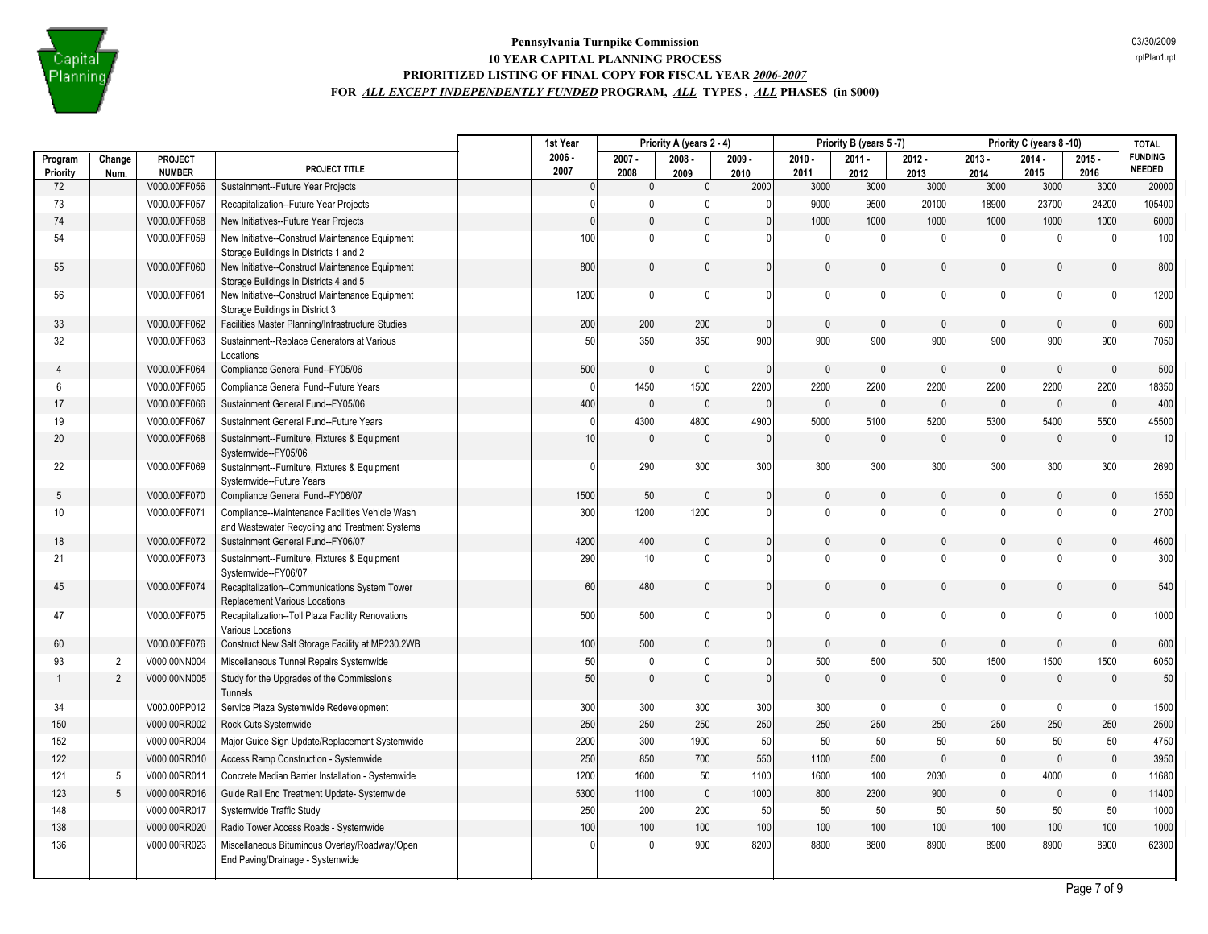

|                     |                |                          |                                                                                                   | 1st Year         | Priority A (years 2 - 4) |                  | Priority B (years 5-7) |                  |                  | Priority C (years 8-10) |                  | <b>TOTAL</b>     |                  |                                 |
|---------------------|----------------|--------------------------|---------------------------------------------------------------------------------------------------|------------------|--------------------------|------------------|------------------------|------------------|------------------|-------------------------|------------------|------------------|------------------|---------------------------------|
| Program<br>Priority | Change<br>Num. | PROJECT<br><b>NUMBER</b> | PROJECT TITLE                                                                                     | $2006 -$<br>2007 | $2007 -$<br>2008         | $2008 -$<br>2009 | $2009 -$<br>2010       | $2010 -$<br>2011 | $2011 -$<br>2012 | $2012 -$<br>2013        | $2013 -$<br>2014 | $2014 -$<br>2015 | $2015 -$<br>2016 | <b>FUNDING</b><br><b>NEEDED</b> |
| 72                  |                | V000.00FF056             | Sustainment--Future Year Projects                                                                 | $\Omega$         | $\mathbf 0$              | $\mathbf{0}$     | 2000                   | 3000             | 3000             | 3000                    | 3000             | 3000             | 3000             | 20000                           |
| 73                  |                | V000.00FF057             | Recapitalization--Future Year Projects                                                            |                  | 0                        | $\mathbf{0}$     | 0                      | 9000             | 9500             | 20100                   | 18900            | 23700            | 24200            | 105400                          |
| 74                  |                | V000.00FF058             | New Initiatives--Future Year Projects                                                             | $\Omega$         | $\mathbf{0}$             | $\mathbf{0}$     | $\mathbf{0}$           | 1000             | 1000             | 1000                    | 1000             | 1000             | 1000             | 6000                            |
| 54                  |                | V000.00FF059             | New Initiative--Construct Maintenance Equipment<br>Storage Buildings in Districts 1 and 2         | 100              | $\mathbf 0$              | $\mathbf 0$      | $\mathbf{0}$           | $\mathbf 0$      | $\mathbf 0$      | n                       | $\mathbf 0$      | $\mathbf{0}$     | $\Omega$         | 100                             |
| 55                  |                | V000.00FF060             | New Initiative--Construct Maintenance Equipment<br>Storage Buildings in Districts 4 and 5         | 800              | $\mathbf{0}$             | $\Omega$         | $\Omega$               | $\Omega$         | $\Omega$         | $\Omega$                | $\Omega$         | $\Omega$         | $\mathbf{0}$     | 800                             |
| 56                  |                | V000.00FF061             | New Initiative--Construct Maintenance Equipment<br>Storage Buildings in District 3                | 1200             | $\mathbf 0$              | $\mathbf 0$      | $\mathbf{0}$           | $\mathbf 0$      | $\mathbf 0$      | U                       | $\mathbf 0$      | $\mathbf{0}$     | $\Omega$         | 1200                            |
| 33                  |                | V000.00FF062             | Facilities Master Planning/Infrastructure Studies                                                 | 200              | 200                      | 200              | $\mathbf{0}$           | $\mathbf{0}$     | $\mathbf{0}$     | $\mathbf{0}$            | $\mathbf{0}$     | $\mathbf{0}$     | $\mathbf{0}$     | 600                             |
| 32                  |                | V000.00FF063             | Sustainment--Replace Generators at Various<br>Locations                                           | 50               | 350                      | 350              | 900                    | 900              | 900              | 900                     | 900              | 900              | 900              | 7050                            |
| 4                   |                | V000.00FF064             | Compliance General Fund--FY05/06                                                                  | 500              | $\pmb{0}$                | $\mathbf{0}$     | $\mathbf{0}$           | $\mathbf{0}$     | $\mathbf{0}$     | $\mathbf{0}$            | $\mathbf{0}$     | $\mathbf{0}$     | $\mathbf{0}$     | 500                             |
| 6                   |                | V000.00FF065             | Compliance General Fund--Future Years                                                             | $\Omega$         | 1450                     | 1500             | 2200                   | 2200             | 2200             | 2200                    | 2200             | 2200             | 2200             | 18350                           |
| 17                  |                | V000.00FF066             | Sustainment General Fund--FY05/06                                                                 | 400              | $\pmb{0}$                | $\mathbf 0$      | $\mathbf{0}$           | $\mathsf{0}$     | $\mathbf{0}$     | $\Omega$                | $\mathbf{0}$     | $\mathbf{0}$     | $\mathbf{0}$     | 400                             |
| 19                  |                | V000.00FF067             | Sustainment General Fund--Future Years                                                            | $\Omega$         | 4300                     | 4800             | 4900                   | 5000             | 5100             | 5200                    | 5300             | 5400             | 5500             | 45500                           |
| 20                  |                | V000.00FF068             | Sustainment--Furniture, Fixtures & Equipment<br>Systemwide--FY05/06                               | 10               | $\theta$                 | 0                | $\Omega$               | $\mathbf{0}$     | $\mathbf{0}$     | 0                       | $\mathbf{0}$     | $\mathbf{0}$     | $\Omega$         | 10                              |
| 22                  |                | V000.00FF069             | Sustainment--Furniture, Fixtures & Equipment<br>Systemwide--Future Years                          | $\Omega$         | 290                      | 300              | 300                    | 300              | 300              | 300                     | 300              | 300              | 300              | 2690                            |
| 5                   |                | V000.00FF070             | Compliance General Fund--FY06/07                                                                  | 1500             | 50                       | $\mathbf{0}$     | $\mathbf{0}$           | $\mathbf{0}$     | $\Omega$         | 0                       | $\mathbf{0}$     | $\Omega$         | $\mathbf{0}$     | 1550                            |
| 10                  |                | V000.00FF071             | Compliance--Maintenance Facilities Vehicle Wash<br>and Wastewater Recycling and Treatment Systems | 300              | 1200                     | 1200             | $\Omega$               | $\Omega$         | $\mathbf{0}$     | 0                       | $\mathbf{0}$     | $\Omega$         | $\Omega$         | 2700                            |
| 18                  |                | V000.00FF072             | Sustainment General Fund--FY06/07                                                                 | 4200             | 400                      | $\mathbf{0}$     | $\mathbf{0}$           | $\mathbf{0}$     | $\mathbf{0}$     | 0                       | $\mathbf{0}$     | $\mathbf{0}$     | $\Omega$         | 4600                            |
| 21                  |                | V000.00FF073             | Sustainment--Furniture, Fixtures & Equipment<br>Systemwide--FY06/07                               | 290              | 10                       | $\mathbf 0$      | 0                      | $\Omega$         | $\mathbf 0$      | 0                       | $\mathbf{0}$     | $\Omega$         | $\Omega$         | 300                             |
| 45                  |                | V000.00FF074             | Recapitalization--Communications System Tower<br>Replacement Various Locations                    | 60               | 480                      | 0                | $\mathbf{0}$           | 0                | $\mathbf{0}$     | $\mathbf{0}$            | $\mathbf{0}$     | $\mathbf{0}$     | $\Omega$         | 540                             |
| 47                  |                | V000.00FF075             | Recapitalization--Toll Plaza Facility Renovations<br>Various Locations                            | 500              | 500                      | 0                | 0                      | $\mathbf{0}$     | 0                | U                       | 0                | $\mathbf{0}$     | $\Omega$         | 1000                            |
| 60                  |                | V000.00FF076             | Construct New Salt Storage Facility at MP230.2WB                                                  | 100              | 500                      | $\mathbf{0}$     | $\mathbf{0}$           | $\mathbf{0}$     | $\Omega$         | 0                       | $\mathbf{0}$     | $\mathbf{0}$     | $\mathbf{0}$     | 600                             |
| 93                  | 2              | V000.00NN004             | Miscellaneous Tunnel Repairs Systemwide                                                           | 50               | 0                        | 0                | $\mathbf{0}$           | 500              | 500              | 500                     | 1500             | 1500             | 1500             | 6050                            |
| -1                  | $\overline{2}$ | V000.00NN005             | Study for the Upgrades of the Commission's<br>Tunnels                                             | 50               | $\pmb{0}$                | $\mathbf{0}$     | $\Omega$               | $\Omega$         | $\mathbf 0$      | $\Omega$                | $\mathbf{0}$     | $\mathbf{0}$     | $\mathbf{0}$     | 50                              |
| 34                  |                | V000.00PP012             | Service Plaza Systemwide Redevelopment                                                            | 300              | 300                      | 300              | 300                    | 300              | $\mathbf 0$      | 0                       | $\mathbf 0$      | $\mathbf{0}$     | $\mathbf 0$      | 1500                            |
| 150                 |                | V000.00RR002             | Rock Cuts Systemwide                                                                              | 250              | 250                      | 250              | 250                    | 250              | 250              | 250                     | 250              | 250              | 250              | 2500                            |
| 152                 |                | V000.00RR004             | Major Guide Sign Update/Replacement Systemwide                                                    | 2200             | 300                      | 1900             | 50                     | 50               | 50               | 50                      | 50               | 50               | $50\,$           | 4750                            |
| 122                 |                | V000.00RR010             | Access Ramp Construction - Systemwide                                                             | 250              | 850                      | 700              | 550                    | 1100             | 500              | $\mathbf{0}$            | $\mathbf{0}$     | $\mathbf{0}$     | $\mathbf{0}$     | 3950                            |
| 121                 | 5              | V000.00RR011             | Concrete Median Barrier Installation - Systemwide                                                 | 1200             | 1600                     | 50               | 1100                   | 1600             | 100              | 2030                    | $\mathbf{0}$     | 4000             | $\mathbf{0}$     | 11680                           |
| 123                 | 5              | V000.00RR016             | Guide Rail End Treatment Update- Systemwide                                                       | 5300             | 1100                     | $\mathbf 0$      | 1000                   | 800              | 2300             | 900                     | $\mathbf{0}$     | $\mathbf{0}$     | $\pmb{0}$        | 11400                           |
| 148                 |                | V000.00RR017             | Systemwide Traffic Study                                                                          | 250              | 200                      | 200              | 50                     | 50               | 50               | 50                      | 50               | 50               | 50               | 1000                            |
| 138                 |                | V000.00RR020             | Radio Tower Access Roads - Systemwide                                                             | 100              | 100                      | 100              | 100                    | 100              | 100              | 100                     | 100              | 100              | 100              | 1000                            |
| 136                 |                | V000.00RR023             | Miscellaneous Bituminous Overlay/Roadway/Open<br>End Paving/Drainage - Systemwide                 |                  | $\mathbf 0$              | 900              | 8200                   | 8800             | 8800             | 8900                    | 8900             | 8900             | 8900             | 62300                           |
|                     |                |                          |                                                                                                   |                  |                          |                  |                        |                  |                  |                         |                  |                  |                  |                                 |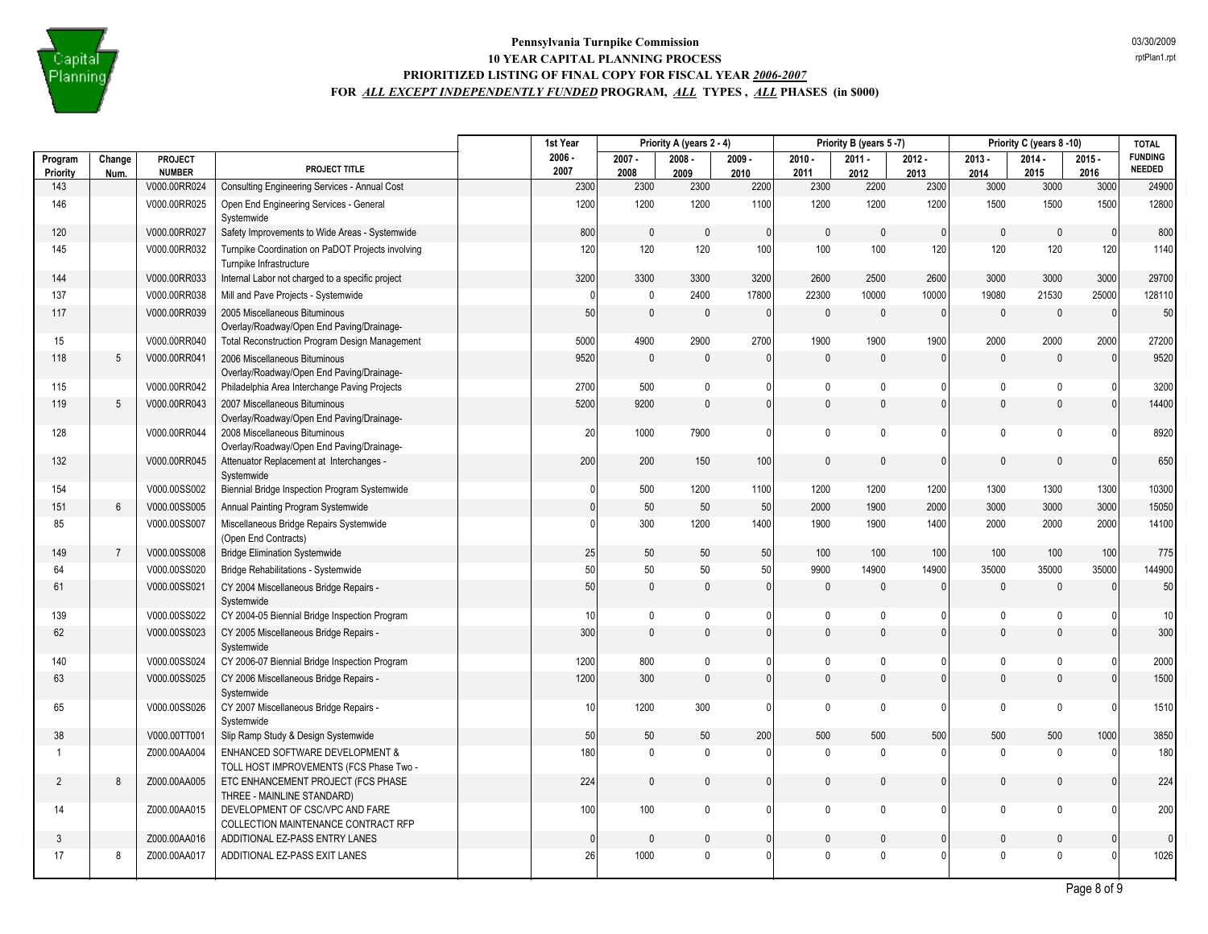

| Program<br>Change<br>PROJECT<br><b>NUMBER</b><br>Priority<br>Num.<br>V000.00RR024<br>143<br>146<br>V000.00RR025<br>Open End Engineering Services - General<br>Systemwide<br>V000.00RR027<br>120<br>145<br>V000.00RR032<br>Turnpike Infrastructure<br>144<br>V000.00RR033<br>137<br>V000.00RR038<br>Mill and Pave Projects - Systemwide<br>117<br>V000.00RR039<br>2005 Miscellaneous Bituminous<br>15<br>V000.00RR040<br>118<br>5<br>V000.00RR041<br>2006 Miscellaneous Bituminous | PROJECT TITLE<br>Consulting Engineering Services - Annual Cost<br>Safety Improvements to Wide Areas - Systemwide<br>Turnpike Coordination on PaDOT Projects involving<br>Internal Labor not charged to a specific project<br>Overlay/Roadway/Open End Paving/Drainage-<br><b>Total Reconstruction Program Design Management</b><br>Overlay/Roadway/Open End Paving/Drainage-<br>Philadelphia Area Interchange Paving Projects | $2006 -$<br>2007<br>2300<br>1200<br>800<br>120<br>3200<br>50<br>5000<br>9520 | $2007 -$<br>2008<br>2300<br>1200<br>$\theta$<br>120<br>3300<br>$\mathbf 0$<br>$\mathbf 0$<br>4900<br>$\theta$ | $2008 -$<br>2009<br>2300<br>1200<br>$\mathbf{0}$<br>120<br>3300<br>2400<br>0<br>2900 | $2009 -$<br>2010<br>2200<br>1100<br>$\Omega$<br>100<br>3200<br>17800<br>$\theta$ | $2010 -$<br>2011<br>2300<br>1200<br>$\mathbf{0}$<br>100<br>2600<br>22300<br>$\mathbf{0}$ | $2011 -$<br>2012<br>2200<br>1200<br>$\mathbf{0}$<br>100<br>2500<br>10000<br>$\mathbf{0}$ | $2012 -$<br>2013<br>2300<br>1200<br>$\Omega$<br>120<br>2600<br>10000<br>$\Omega$ | $2013 -$<br>2014<br>3000<br>1500<br>$\Omega$<br>120<br>3000<br>19080 | $2014 -$<br>2015<br>3000<br>1500<br>$\mathbf{0}$<br>120<br>3000<br>21530 | $2015 -$<br>2016<br>3000<br>1500<br>$\mathbf{0}$<br>120<br>3000<br>25000 | <b>FUNDING</b><br><b>NEEDED</b><br>24900<br>12800<br>800<br>1140<br>29700<br>128110 |
|-----------------------------------------------------------------------------------------------------------------------------------------------------------------------------------------------------------------------------------------------------------------------------------------------------------------------------------------------------------------------------------------------------------------------------------------------------------------------------------|-------------------------------------------------------------------------------------------------------------------------------------------------------------------------------------------------------------------------------------------------------------------------------------------------------------------------------------------------------------------------------------------------------------------------------|------------------------------------------------------------------------------|---------------------------------------------------------------------------------------------------------------|--------------------------------------------------------------------------------------|----------------------------------------------------------------------------------|------------------------------------------------------------------------------------------|------------------------------------------------------------------------------------------|----------------------------------------------------------------------------------|----------------------------------------------------------------------|--------------------------------------------------------------------------|--------------------------------------------------------------------------|-------------------------------------------------------------------------------------|
|                                                                                                                                                                                                                                                                                                                                                                                                                                                                                   |                                                                                                                                                                                                                                                                                                                                                                                                                               |                                                                              |                                                                                                               |                                                                                      |                                                                                  |                                                                                          |                                                                                          |                                                                                  |                                                                      |                                                                          |                                                                          |                                                                                     |
|                                                                                                                                                                                                                                                                                                                                                                                                                                                                                   |                                                                                                                                                                                                                                                                                                                                                                                                                               |                                                                              |                                                                                                               |                                                                                      |                                                                                  |                                                                                          |                                                                                          |                                                                                  |                                                                      |                                                                          |                                                                          |                                                                                     |
|                                                                                                                                                                                                                                                                                                                                                                                                                                                                                   |                                                                                                                                                                                                                                                                                                                                                                                                                               |                                                                              |                                                                                                               |                                                                                      |                                                                                  |                                                                                          |                                                                                          |                                                                                  |                                                                      |                                                                          |                                                                          |                                                                                     |
|                                                                                                                                                                                                                                                                                                                                                                                                                                                                                   |                                                                                                                                                                                                                                                                                                                                                                                                                               |                                                                              |                                                                                                               |                                                                                      |                                                                                  |                                                                                          |                                                                                          |                                                                                  |                                                                      |                                                                          |                                                                          |                                                                                     |
|                                                                                                                                                                                                                                                                                                                                                                                                                                                                                   |                                                                                                                                                                                                                                                                                                                                                                                                                               |                                                                              |                                                                                                               |                                                                                      |                                                                                  |                                                                                          |                                                                                          |                                                                                  |                                                                      |                                                                          |                                                                          |                                                                                     |
|                                                                                                                                                                                                                                                                                                                                                                                                                                                                                   |                                                                                                                                                                                                                                                                                                                                                                                                                               |                                                                              |                                                                                                               |                                                                                      |                                                                                  |                                                                                          |                                                                                          |                                                                                  |                                                                      |                                                                          |                                                                          |                                                                                     |
|                                                                                                                                                                                                                                                                                                                                                                                                                                                                                   |                                                                                                                                                                                                                                                                                                                                                                                                                               |                                                                              |                                                                                                               |                                                                                      |                                                                                  |                                                                                          |                                                                                          |                                                                                  |                                                                      |                                                                          |                                                                          |                                                                                     |
|                                                                                                                                                                                                                                                                                                                                                                                                                                                                                   |                                                                                                                                                                                                                                                                                                                                                                                                                               |                                                                              |                                                                                                               |                                                                                      |                                                                                  |                                                                                          |                                                                                          |                                                                                  | $\Omega$                                                             | $\mathbf{0}$                                                             | $\mathbf{0}$                                                             | 50                                                                                  |
|                                                                                                                                                                                                                                                                                                                                                                                                                                                                                   |                                                                                                                                                                                                                                                                                                                                                                                                                               |                                                                              |                                                                                                               |                                                                                      | 2700                                                                             | 1900                                                                                     | 1900                                                                                     | 1900                                                                             | 2000                                                                 | 2000                                                                     | 2000                                                                     | 27200                                                                               |
|                                                                                                                                                                                                                                                                                                                                                                                                                                                                                   |                                                                                                                                                                                                                                                                                                                                                                                                                               |                                                                              |                                                                                                               | $\mathbf{0}$                                                                         | n                                                                                | $\mathbf{0}$                                                                             | $\mathbf{0}$                                                                             |                                                                                  | $\mathbf{0}$                                                         | $\mathbf{0}$                                                             | $\mathbf{0}$                                                             |                                                                                     |
|                                                                                                                                                                                                                                                                                                                                                                                                                                                                                   |                                                                                                                                                                                                                                                                                                                                                                                                                               |                                                                              |                                                                                                               |                                                                                      |                                                                                  |                                                                                          |                                                                                          |                                                                                  |                                                                      |                                                                          |                                                                          | 9520                                                                                |
| V000.00RR042<br>115                                                                                                                                                                                                                                                                                                                                                                                                                                                               |                                                                                                                                                                                                                                                                                                                                                                                                                               | 2700                                                                         | 500                                                                                                           | 0                                                                                    | 0                                                                                | 0                                                                                        | $\mathbf{0}$                                                                             | <sup>0</sup>                                                                     | 0                                                                    | $\mathbf{0}$                                                             | $\Omega$                                                                 | 3200                                                                                |
| 119<br>5<br>V000.00RR043<br>2007 Miscellaneous Bituminous                                                                                                                                                                                                                                                                                                                                                                                                                         | Overlay/Roadway/Open End Paving/Drainage-                                                                                                                                                                                                                                                                                                                                                                                     | 5200                                                                         | 9200                                                                                                          | $\mathbf{0}$                                                                         | $\Omega$                                                                         | $\Omega$                                                                                 | $\mathbf{0}$                                                                             | $\overline{0}$                                                                   | $\mathbf{0}$                                                         | $\Omega$                                                                 | $\Omega$                                                                 | 14400                                                                               |
| V000.00RR044<br>2008 Miscellaneous Bituminous<br>128                                                                                                                                                                                                                                                                                                                                                                                                                              | Overlay/Roadway/Open End Paving/Drainage-                                                                                                                                                                                                                                                                                                                                                                                     | 20                                                                           | 1000                                                                                                          | 7900                                                                                 | $\Omega$                                                                         | $\mathbf{0}$                                                                             | $\mathbf{0}$                                                                             | Λ                                                                                | $\mathbf{0}$                                                         | $\Omega$                                                                 | $\Omega$                                                                 | 8920                                                                                |
| 132<br>V000.00RR045<br>Attenuator Replacement at Interchanges -<br>Systemwide                                                                                                                                                                                                                                                                                                                                                                                                     |                                                                                                                                                                                                                                                                                                                                                                                                                               | 200                                                                          | 200                                                                                                           | 150                                                                                  | 100                                                                              | $\mathbf{0}$                                                                             | $\mathbf{0}$                                                                             | $\mathbf{0}$                                                                     | $\Omega$                                                             | $\mathbf{0}$                                                             | $\mathbf{0}$                                                             | 650                                                                                 |
| 154<br>V000.00SS002                                                                                                                                                                                                                                                                                                                                                                                                                                                               | Biennial Bridge Inspection Program Systemwide                                                                                                                                                                                                                                                                                                                                                                                 |                                                                              | 500                                                                                                           | 1200                                                                                 | 1100                                                                             | 1200                                                                                     | 1200                                                                                     | 1200                                                                             | 1300                                                                 | 1300                                                                     | 1300                                                                     | 10300                                                                               |
| 151<br>6<br>V000.00SS005<br>Annual Painting Program Systemwide                                                                                                                                                                                                                                                                                                                                                                                                                    |                                                                                                                                                                                                                                                                                                                                                                                                                               |                                                                              | 50                                                                                                            | 50                                                                                   | 50                                                                               | 2000                                                                                     | 1900                                                                                     | 2000                                                                             | 3000                                                                 | 3000                                                                     | 3000                                                                     | 15050                                                                               |
| 85<br>V000.00SS007<br>Miscellaneous Bridge Repairs Systemwide<br>(Open End Contracts)                                                                                                                                                                                                                                                                                                                                                                                             |                                                                                                                                                                                                                                                                                                                                                                                                                               | 0                                                                            | 300                                                                                                           | 1200                                                                                 | 1400                                                                             | 1900                                                                                     | 1900                                                                                     | 1400                                                                             | 2000                                                                 | 2000                                                                     | 2000                                                                     | 14100                                                                               |
| 149<br>$\overline{7}$<br>V000.00SS008<br><b>Bridge Elimination Systemwide</b>                                                                                                                                                                                                                                                                                                                                                                                                     |                                                                                                                                                                                                                                                                                                                                                                                                                               | 25                                                                           | 50                                                                                                            | 50                                                                                   | 50                                                                               | 100                                                                                      | 100                                                                                      | 100                                                                              | 100                                                                  | 100                                                                      | 100                                                                      | 775                                                                                 |
| 64<br>V000.00SS020<br>Bridge Rehabilitations - Systemwide                                                                                                                                                                                                                                                                                                                                                                                                                         |                                                                                                                                                                                                                                                                                                                                                                                                                               | 50                                                                           | 50                                                                                                            | 50                                                                                   | 50                                                                               | 9900                                                                                     | 14900                                                                                    | 14900                                                                            | 35000                                                                | 35000                                                                    | 35000                                                                    | 144900                                                                              |
| 61<br>V000.00SS021<br>CY 2004 Miscellaneous Bridge Repairs -<br>Systemwide                                                                                                                                                                                                                                                                                                                                                                                                        |                                                                                                                                                                                                                                                                                                                                                                                                                               | 50                                                                           | $\mathbf{0}$                                                                                                  | $\mathbf{0}$                                                                         | $\mathbf{0}$                                                                     | $\Omega$                                                                                 | $\Omega$                                                                                 |                                                                                  | $\Omega$                                                             | $\mathbf{0}$                                                             | $\Omega$                                                                 | 50                                                                                  |
| 139<br>V000.00SS022                                                                                                                                                                                                                                                                                                                                                                                                                                                               | CY 2004-05 Biennial Bridge Inspection Program                                                                                                                                                                                                                                                                                                                                                                                 | 10                                                                           | $\mathbf 0$                                                                                                   | $\mathbf 0$                                                                          | 0                                                                                | $\mathbf{0}$                                                                             | $\mathbf{0}$                                                                             |                                                                                  | $\mathbf 0$                                                          | $\mathbf{0}$                                                             | $\Omega$                                                                 | 10                                                                                  |
| 62<br>V000.00SS023<br>CY 2005 Miscellaneous Bridge Repairs -<br>Systemwide                                                                                                                                                                                                                                                                                                                                                                                                        |                                                                                                                                                                                                                                                                                                                                                                                                                               | 300                                                                          | $\mathbf{0}$                                                                                                  | $\pmb{0}$                                                                            | $\mathbf{0}$                                                                     | $\mathbf{0}$                                                                             | $\mathbf 0$                                                                              | $\overline{0}$                                                                   | $\mathbf 0$                                                          | $\mathbf{0}$                                                             | $\mathbf{0}$                                                             | 300                                                                                 |
| 140<br>V000.00SS024                                                                                                                                                                                                                                                                                                                                                                                                                                                               | CY 2006-07 Biennial Bridge Inspection Program                                                                                                                                                                                                                                                                                                                                                                                 | 1200                                                                         | 800                                                                                                           | 0                                                                                    | <sup>0</sup>                                                                     | $\mathbf{0}$                                                                             | 0                                                                                        |                                                                                  | $\Omega$                                                             | $\mathbf{0}$                                                             | $\Omega$                                                                 | 2000                                                                                |
| 63<br>V000.00SS025<br>CY 2006 Miscellaneous Bridge Repairs -<br>Systemwide                                                                                                                                                                                                                                                                                                                                                                                                        |                                                                                                                                                                                                                                                                                                                                                                                                                               | 1200                                                                         | 300                                                                                                           | $\Omega$                                                                             | $\Omega$                                                                         | $\Omega$                                                                                 | $\Omega$                                                                                 |                                                                                  | $\mathbf{0}$                                                         | $\Omega$                                                                 | $\Omega$                                                                 | 1500                                                                                |
| V000.00SS026<br>CY 2007 Miscellaneous Bridge Repairs -<br>65<br>Systemwide                                                                                                                                                                                                                                                                                                                                                                                                        |                                                                                                                                                                                                                                                                                                                                                                                                                               | 10                                                                           | 1200                                                                                                          | 300                                                                                  | $\Omega$                                                                         | 0                                                                                        | $\mathbf{0}$                                                                             |                                                                                  | $\mathbf{0}$                                                         | $\mathbf{0}$                                                             | $\Omega$                                                                 | 1510                                                                                |
| 38<br>V000.00TT001<br>Slip Ramp Study & Design Systemwide                                                                                                                                                                                                                                                                                                                                                                                                                         |                                                                                                                                                                                                                                                                                                                                                                                                                               | 50                                                                           | 50                                                                                                            | 50                                                                                   | 200                                                                              | 500                                                                                      | 500                                                                                      | 500                                                                              | 500                                                                  | 500                                                                      | 1000                                                                     | 3850                                                                                |
| Z000.00AA004<br>1                                                                                                                                                                                                                                                                                                                                                                                                                                                                 | <b>ENHANCED SOFTWARE DEVELOPMENT &amp;</b><br>TOLL HOST IMPROVEMENTS (FCS Phase Two -                                                                                                                                                                                                                                                                                                                                         | 180                                                                          | $\mathbf{0}$                                                                                                  | $\mathbf{0}$                                                                         | O                                                                                | $\mathbf{0}$                                                                             | $\mathbf{0}$                                                                             | $\Omega$                                                                         | $\mathbf{0}$                                                         | $\Omega$                                                                 | $\Omega$                                                                 | 180                                                                                 |
| $\overline{2}$<br>8<br>Z000.00AA005<br>THREE - MAINLINE STANDARD)                                                                                                                                                                                                                                                                                                                                                                                                                 | ETC ENHANCEMENT PROJECT (FCS PHASE                                                                                                                                                                                                                                                                                                                                                                                            | 224                                                                          | $\mathbf{0}$                                                                                                  | 0                                                                                    | $\mathbf{0}$                                                                     | $\mathbf{0}$                                                                             | $\mathbf{0}$                                                                             | $\Omega$                                                                         | $\mathbf{0}$                                                         | $\mathbf{0}$                                                             | $\Omega$                                                                 | 224                                                                                 |
| Z000.00AA015<br>14                                                                                                                                                                                                                                                                                                                                                                                                                                                                | DEVELOPMENT OF CSC/VPC AND FARE<br>COLLECTION MAINTENANCE CONTRACT RFP                                                                                                                                                                                                                                                                                                                                                        | 100                                                                          | 100                                                                                                           | 0                                                                                    | <sup>0</sup>                                                                     | $\mathbf{0}$                                                                             | $\mathbf{0}$                                                                             |                                                                                  | $\mathbf{0}$                                                         | $\Omega$                                                                 | $\Omega$                                                                 | 200                                                                                 |
| Z000.00AA016<br>ADDITIONAL EZ-PASS ENTRY LANES<br>3                                                                                                                                                                                                                                                                                                                                                                                                                               |                                                                                                                                                                                                                                                                                                                                                                                                                               | U                                                                            | $\mathbf{0}$                                                                                                  | 0                                                                                    | 0                                                                                | $\mathbf{0}$                                                                             | $\mathbf{0}$                                                                             | 0                                                                                | $\mathbf{0}$                                                         | $\mathbf{0}$                                                             | $\Omega$                                                                 |                                                                                     |
| 17<br>Z000.00AA017<br>ADDITIONAL EZ-PASS EXIT LANES<br>8                                                                                                                                                                                                                                                                                                                                                                                                                          |                                                                                                                                                                                                                                                                                                                                                                                                                               | 26                                                                           | 1000                                                                                                          | $\mathbf{0}$                                                                         | n                                                                                | $\Omega$                                                                                 | $\mathbf 0$                                                                              |                                                                                  | $\mathbf{0}$                                                         | $\Omega$                                                                 | $\Omega$                                                                 | 1026                                                                                |